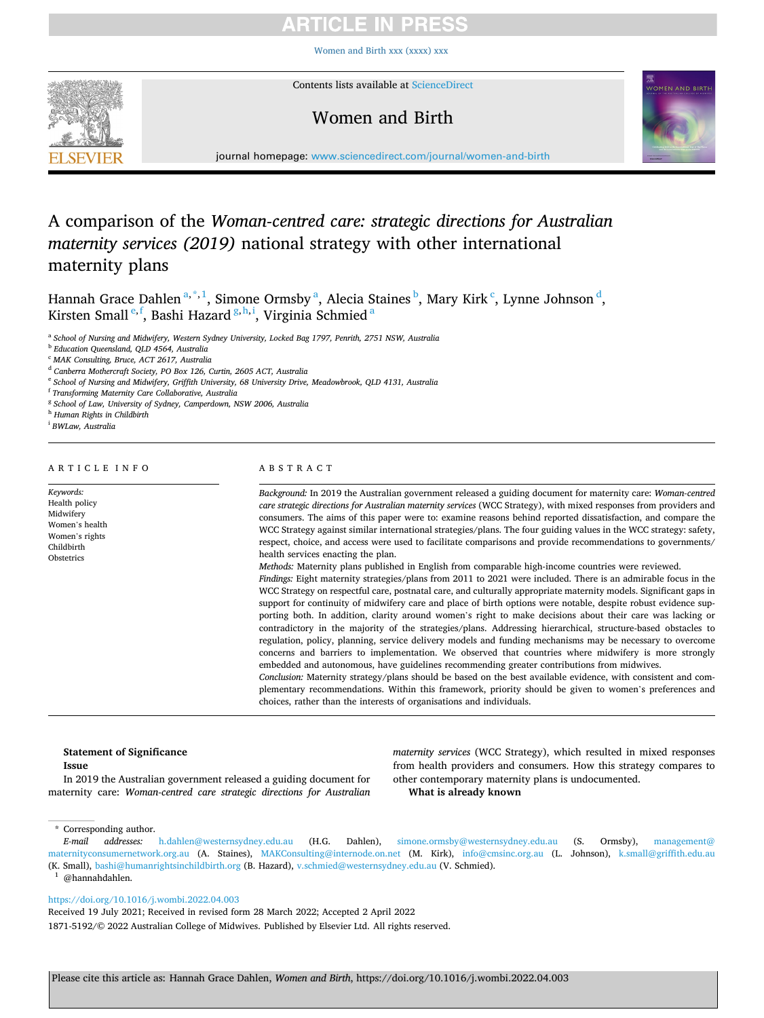[Women and Birth xxx \(xxxx\) xxx](https://doi.org/10.1016/j.wombi.2022.04.003)



Contents lists available at [ScienceDirect](www.sciencedirect.com/science/journal/18715192)

## Women and Birth



journal homepage: [www.sciencedirect.com/journal/women-and-birth](https://www.sciencedirect.com/journal/women-and-birth)

## A comparison of the *Woman-centred care: strategic directions for Australian maternity services (2019)* national strategy with other international maternity plans

Hannah Grace Dahlen <sup>a,\*,1</sup>, Simone Ormsby <sup>a</sup>, Alecia Staines <sup>b</sup>, Mary Kirk <sup>c</sup>, Lynne Johnson <sup>d</sup>, Kirsten Small<sup>e,f</sup>, Bashi Hazard<sup>g,h,i</sup>, Virginia Schmied<sup>a</sup>

<sup>a</sup> *School of Nursing and Midwifery, Western Sydney University, Locked Bag 1797, Penrith, 2751 NSW, Australia* 

<sup>b</sup> *Education Queensland, QLD 4564, Australia* 

<sup>c</sup> *MAK Consulting, Bruce, ACT 2617, Australia* 

<sup>d</sup> *Canberra Mothercraft Society, PO Box 126, Curtin, 2605 ACT, Australia* 

<sup>e</sup> *School of Nursing and Midwifery, Griffith University, 68 University Drive, Meadowbrook, QLD 4131, Australia* 

<sup>f</sup> *Transforming Maternity Care Collaborative, Australia* 

<sup>g</sup> *School of Law, University of Sydney, Camperdown, NSW 2006, Australia* 

<sup>h</sup> *Human Rights in Childbirth* 

<sup>i</sup> *BWLaw, Australia* 

## ARTICLE INFO

*Keywords:*  Health policy Midwifery Women's health Women's rights Childbirth **Obstetrics** 

## ABSTRACT

*Background:* In 2019 the Australian government released a guiding document for maternity care: *Woman-centred care strategic directions for Australian maternity services* (WCC Strategy), with mixed responses from providers and consumers. The aims of this paper were to: examine reasons behind reported dissatisfaction, and compare the WCC Strategy against similar international strategies/plans. The four guiding values in the WCC strategy: safety, respect, choice, and access were used to facilitate comparisons and provide recommendations to governments/ health services enacting the plan.

*Methods:* Maternity plans published in English from comparable high-income countries were reviewed.

*Findings:* Eight maternity strategies/plans from 2011 to 2021 were included. There is an admirable focus in the WCC Strategy on respectful care, postnatal care, and culturally appropriate maternity models. Significant gaps in support for continuity of midwifery care and place of birth options were notable, despite robust evidence supporting both. In addition, clarity around women's right to make decisions about their care was lacking or contradictory in the majority of the strategies/plans. Addressing hierarchical, structure-based obstacles to regulation, policy, planning, service delivery models and funding mechanisms may be necessary to overcome concerns and barriers to implementation. We observed that countries where midwifery is more strongly embedded and autonomous, have guidelines recommending greater contributions from midwives.

*Conclusion:* Maternity strategy/plans should be based on the best available evidence, with consistent and complementary recommendations. Within this framework, priority should be given to women's preferences and choices, rather than the interests of organisations and individuals.

## **Statement of Significance**

**Issue** 

In 2019 the Australian government released a guiding document for maternity care: *Woman-centred care strategic directions for Australian*  *maternity services* (WCC Strategy), which resulted in mixed responses from health providers and consumers. How this strategy compares to other contemporary maternity plans is undocumented.

**What is already known** 

\* Corresponding author.

<https://doi.org/10.1016/j.wombi.2022.04.003>

1871-5192/© 2022 Australian College of Midwives. Published by Elsevier Ltd. All rights reserved. Received 19 July 2021; Received in revised form 28 March 2022; Accepted 2 April 2022

*E-mail addresses:* [h.dahlen@westernsydney.edu.au](mailto:h.dahlen@westernsydney.edu.au) (H.G. Dahlen), [simone.ormsby@westernsydney.edu.au](mailto:simone.ormsby@westernsydney.edu.au) (S. Ormsby), [management@](mailto:management@maternityconsumernetwork.org.au)  [maternityconsumernetwork.org.au](mailto:management@maternityconsumernetwork.org.au) (A. Staines), [MAKConsulting@internode.on.net](mailto:MAKConsulting@internode.on.net) (M. Kirk), [info@cmsinc.org.au](mailto:info@cmsinc.org.au) (L. Johnson), [k.small@griffith.edu.au](mailto:k.small@griffith.edu.au)  (K. Small), [bashi@humanrightsinchildbirth.org](mailto:bashi@humanrightsinchildbirth.org) (B. Hazard), [v.schmied@westernsydney.edu.au](mailto:v.schmied@westernsydney.edu.au) (V. Schmied).<br><sup>1</sup> @hannahdahlen.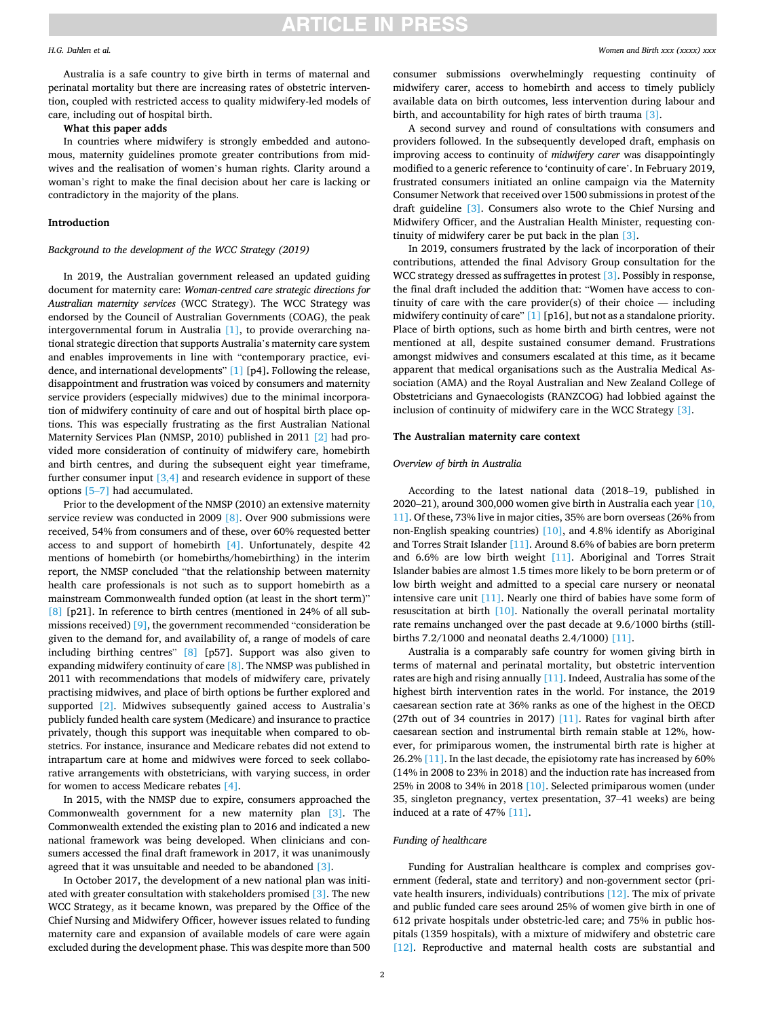### *H.G. Dahlen et al.*

Australia is a safe country to give birth in terms of maternal and perinatal mortality but there are increasing rates of obstetric intervention, coupled with restricted access to quality midwifery-led models of care, including out of hospital birth.

## **What this paper adds**

In countries where midwifery is strongly embedded and autonomous, maternity guidelines promote greater contributions from midwives and the realisation of women's human rights. Clarity around a woman's right to make the final decision about her care is lacking or contradictory in the majority of the plans.

## **Introduction**

## *Background to the development of the WCC Strategy (2019)*

In 2019, the Australian government released an updated guiding document for maternity care: *Woman-centred care strategic directions for Australian maternity services* (WCC Strategy). The WCC Strategy was endorsed by the Council of Australian Governments (COAG), the peak intergovernmental forum in Australia [\[1\],](#page-11-0) to provide overarching national strategic direction that supports Australia's maternity care system and enables improvements in line with "contemporary practice, evidence, and international developments" [\[1\]](#page-11-0) [p4]**.** Following the release, disappointment and frustration was voiced by consumers and maternity service providers (especially midwives) due to the minimal incorporation of midwifery continuity of care and out of hospital birth place options. This was especially frustrating as the first Australian National Maternity Services Plan (NMSP, 2010) published in 2011 [\[2\]](#page-11-0) had provided more consideration of continuity of midwifery care, homebirth and birth centres, and during the subsequent eight year timeframe, further consumer input  $[3,4]$  and research evidence in support of these options [5–[7\]](#page-11-0) had accumulated.

Prior to the development of the NMSP (2010) an extensive maternity service review was conducted in 2009 [\[8\].](#page-11-0) Over 900 submissions were received, 54% from consumers and of these, over 60% requested better access to and support of homebirth  $[4]$ . Unfortunately, despite 42 mentions of homebirth (or homebirths/homebirthing) in the interim report, the NMSP concluded "that the relationship between maternity health care professionals is not such as to support homebirth as a mainstream Commonwealth funded option (at least in the short term)" [\[8\]](#page-11-0) [p21]. In reference to birth centres (mentioned in 24% of all submissions received) [\[9\],](#page-11-0) the government recommended "consideration be given to the demand for, and availability of, a range of models of care including birthing centres" [\[8\]](#page-11-0) [p57]. Support was also given to expanding midwifery continuity of care [\[8\]](#page-11-0). The NMSP was published in 2011 with recommendations that models of midwifery care, privately practising midwives, and place of birth options be further explored and supported [\[2\].](#page-11-0) Midwives subsequently gained access to Australia's publicly funded health care system (Medicare) and insurance to practice privately, though this support was inequitable when compared to obstetrics. For instance, insurance and Medicare rebates did not extend to intrapartum care at home and midwives were forced to seek collaborative arrangements with obstetricians, with varying success, in order for women to access Medicare rebates [\[4\].](#page-11-0)

In 2015, with the NMSP due to expire, consumers approached the Commonwealth government for a new maternity plan [\[3\]](#page-11-0). The Commonwealth extended the existing plan to 2016 and indicated a new national framework was being developed. When clinicians and consumers accessed the final draft framework in 2017, it was unanimously agreed that it was unsuitable and needed to be abandoned [\[3\]](#page-11-0).

In October 2017, the development of a new national plan was initiated with greater consultation with stakeholders promised [\[3\].](#page-11-0) The new WCC Strategy, as it became known, was prepared by the Office of the Chief Nursing and Midwifery Officer, however issues related to funding maternity care and expansion of available models of care were again excluded during the development phase. This was despite more than 500 consumer submissions overwhelmingly requesting continuity of midwifery carer, access to homebirth and access to timely publicly available data on birth outcomes, less intervention during labour and birth, and accountability for high rates of birth trauma [\[3\]](#page-11-0).

A second survey and round of consultations with consumers and providers followed. In the subsequently developed draft, emphasis on improving access to continuity of *midwifery carer* was disappointingly modified to a generic reference to 'continuity of care'. In February 2019, frustrated consumers initiated an online campaign via the Maternity Consumer Network that received over 1500 submissions in protest of the draft guideline [\[3\]](#page-11-0). Consumers also wrote to the Chief Nursing and Midwifery Officer, and the Australian Health Minister, requesting continuity of midwifery carer be put back in the plan [\[3\]](#page-11-0).

In 2019, consumers frustrated by the lack of incorporation of their contributions, attended the final Advisory Group consultation for the WCC strategy dressed as suffragettes in protest [\[3\]](#page-11-0). Possibly in response, the final draft included the addition that: "Women have access to continuity of care with the care provider(s) of their choice — including midwifery continuity of care" [\[1\]](#page-11-0) [p16], but not as a standalone priority. Place of birth options, such as home birth and birth centres, were not mentioned at all, despite sustained consumer demand. Frustrations amongst midwives and consumers escalated at this time, as it became apparent that medical organisations such as the Australia Medical Association (AMA) and the Royal Australian and New Zealand College of Obstetricians and Gynaecologists (RANZCOG) had lobbied against the inclusion of continuity of midwifery care in the WCC Strategy [\[3\]](#page-11-0).

## **The Australian maternity care context**

## *Overview of birth in Australia*

According to the latest national data (2018–19, published in 2020–21), around 300,000 women give birth in Australia each year [\[10,](#page-11-0)  [11\].](#page-11-0) Of these, 73% live in major cities, 35% are born overseas (26% from non-English speaking countries) [\[10\],](#page-11-0) and 4.8% identify as Aboriginal and Torres Strait Islander [\[11\].](#page-11-0) Around 8.6% of babies are born preterm and 6.6% are low birth weight [\[11\].](#page-11-0) Aboriginal and Torres Strait Islander babies are almost 1.5 times more likely to be born preterm or of low birth weight and admitted to a special care nursery or neonatal intensive care unit [\[11\].](#page-11-0) Nearly one third of babies have some form of resuscitation at birth [\[10\]](#page-11-0). Nationally the overall perinatal mortality rate remains unchanged over the past decade at 9.6/1000 births (stillbirths 7.2/1000 and neonatal deaths 2.4/1000) [\[11\].](#page-11-0)

Australia is a comparably safe country for women giving birth in terms of maternal and perinatal mortality, but obstetric intervention rates are high and rising annually [\[11\]](#page-11-0). Indeed, Australia has some of the highest birth intervention rates in the world. For instance, the 2019 caesarean section rate at 36% ranks as one of the highest in the OECD (27th out of 34 countries in 2017) [\[11\]](#page-11-0). Rates for vaginal birth after caesarean section and instrumental birth remain stable at 12%, however, for primiparous women, the instrumental birth rate is higher at 26.2% [\[11\].](#page-11-0) In the last decade, the episiotomy rate has increased by 60% (14% in 2008 to 23% in 2018) and the induction rate has increased from 25% in 2008 to 34% in 2018 [\[10\].](#page-11-0) Selected primiparous women (under 35, singleton pregnancy, vertex presentation, 37–41 weeks) are being induced at a rate of 47% [\[11\]](#page-11-0).

## *Funding of healthcare*

Funding for Australian healthcare is complex and comprises government (federal, state and territory) and non-government sector (private health insurers, individuals) contributions [\[12\].](#page-11-0) The mix of private and public funded care sees around 25% of women give birth in one of 612 private hospitals under obstetric-led care; and 75% in public hospitals (1359 hospitals), with a mixture of midwifery and obstetric care [\[12\]](#page-11-0). Reproductive and maternal health costs are substantial and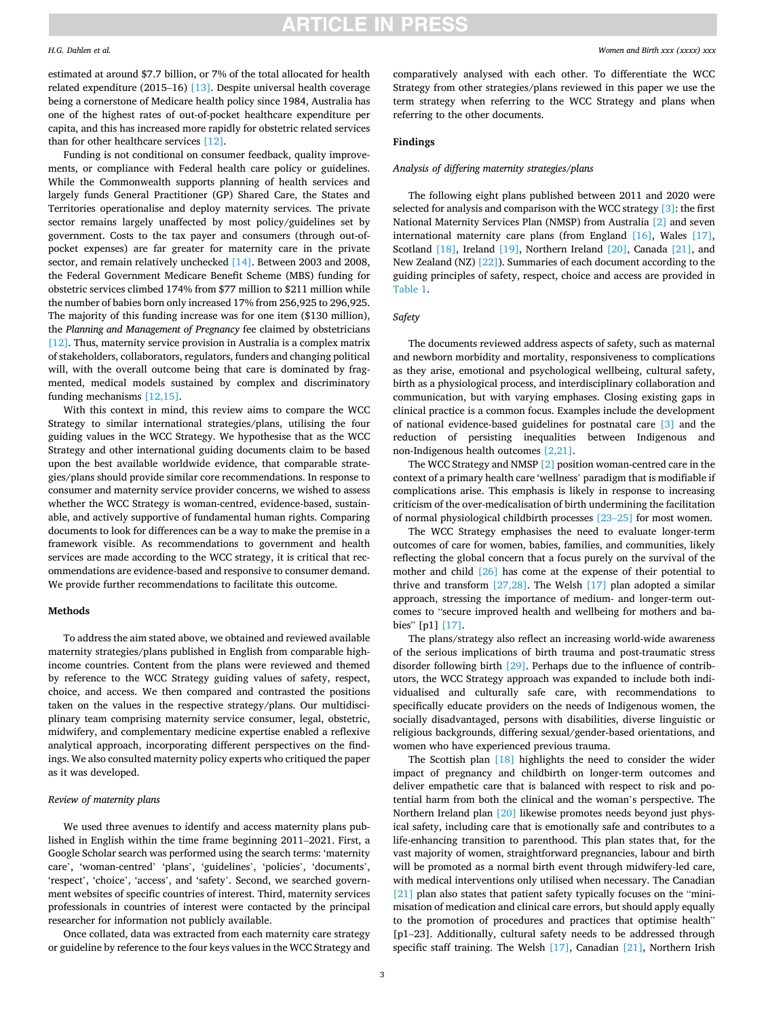### *H.G. Dahlen et al.*

estimated at around \$7.7 billion, or 7% of the total allocated for health related expenditure (2015–16) [\[13\]](#page-11-0). Despite universal health coverage being a cornerstone of Medicare health policy since 1984, Australia has one of the highest rates of out-of-pocket healthcare expenditure per capita, and this has increased more rapidly for obstetric related services than for other healthcare services [\[12\]](#page-11-0).

Funding is not conditional on consumer feedback, quality improvements, or compliance with Federal health care policy or guidelines. While the Commonwealth supports planning of health services and largely funds General Practitioner (GP) Shared Care, the States and Territories operationalise and deploy maternity services. The private sector remains largely unaffected by most policy/guidelines set by government. Costs to the tax payer and consumers (through out-ofpocket expenses) are far greater for maternity care in the private sector, and remain relatively unchecked [\[14\]](#page-11-0). Between 2003 and 2008, the Federal Government Medicare Benefit Scheme (MBS) funding for obstetric services climbed 174% from \$77 million to \$211 million while the number of babies born only increased 17% from 256,925 to 296,925. The majority of this funding increase was for one item (\$130 million), the *Planning and Management of Pregnancy* fee claimed by obstetricians [\[12\]](#page-11-0). Thus, maternity service provision in Australia is a complex matrix of stakeholders, collaborators, regulators, funders and changing political will, with the overall outcome being that care is dominated by fragmented, medical models sustained by complex and discriminatory funding mechanisms [\[12,15\].](#page-11-0)

With this context in mind, this review aims to compare the WCC Strategy to similar international strategies/plans, utilising the four guiding values in the WCC Strategy. We hypothesise that as the WCC Strategy and other international guiding documents claim to be based upon the best available worldwide evidence, that comparable strategies/plans should provide similar core recommendations. In response to consumer and maternity service provider concerns, we wished to assess whether the WCC Strategy is woman-centred, evidence-based, sustainable, and actively supportive of fundamental human rights. Comparing documents to look for differences can be a way to make the premise in a framework visible. As recommendations to government and health services are made according to the WCC strategy, it is critical that recommendations are evidence-based and responsive to consumer demand. We provide further recommendations to facilitate this outcome.

## **Methods**

To address the aim stated above, we obtained and reviewed available maternity strategies/plans published in English from comparable highincome countries. Content from the plans were reviewed and themed by reference to the WCC Strategy guiding values of safety, respect, choice, and access. We then compared and contrasted the positions taken on the values in the respective strategy/plans. Our multidisciplinary team comprising maternity service consumer, legal, obstetric, midwifery, and complementary medicine expertise enabled a reflexive analytical approach, incorporating different perspectives on the findings. We also consulted maternity policy experts who critiqued the paper as it was developed.

## *Review of maternity plans*

We used three avenues to identify and access maternity plans published in English within the time frame beginning 2011–2021. First, a Google Scholar search was performed using the search terms: 'maternity care', 'woman-centred' 'plans', 'guidelines', 'policies', 'documents', 'respect', 'choice', 'access', and 'safety'. Second, we searched government websites of specific countries of interest. Third, maternity services professionals in countries of interest were contacted by the principal researcher for information not publicly available.

Once collated, data was extracted from each maternity care strategy or guideline by reference to the four keys values in the WCC Strategy and comparatively analysed with each other. To differentiate the WCC Strategy from other strategies/plans reviewed in this paper we use the term strategy when referring to the WCC Strategy and plans when referring to the other documents.

## **Findings**

## *Analysis of differing maternity strategies/plans*

The following eight plans published between 2011 and 2020 were selected for analysis and comparison with the WCC strategy [\[3\]:](#page-11-0) the first National Maternity Services Plan (NMSP) from Australia [\[2\]](#page-11-0) and seven international maternity care plans (from England [\[16\],](#page-11-0) Wales [\[17\]](#page-11-0), Scotland [\[18\],](#page-11-0) Ireland [\[19\],](#page-11-0) Northern Ireland [\[20\]](#page-11-0), Canada [\[21\]](#page-11-0), and New Zealand (NZ) [\[22\]\)](#page-11-0). Summaries of each document according to the guiding principles of safety, respect, choice and access are provided in [Table 1](#page-3-0).

## *Safety*

The documents reviewed address aspects of safety, such as maternal and newborn morbidity and mortality, responsiveness to complications as they arise, emotional and psychological wellbeing, cultural safety, birth as a physiological process, and interdisciplinary collaboration and communication, but with varying emphases. Closing existing gaps in clinical practice is a common focus. Examples include the development of national evidence-based guidelines for postnatal care [\[3\]](#page-11-0) and the reduction of persisting inequalities between Indigenous and non-Indigenous health outcomes [\[2,21\].](#page-11-0)

The WCC Strategy and NMSP [\[2\]](#page-11-0) position woman-centred care in the context of a primary health care 'wellness' paradigm that is modifiable if complications arise. This emphasis is likely in response to increasing criticism of the over-medicalisation of birth undermining the facilitation of normal physiological childbirth processes [23–[25\]](#page-11-0) for most women.

The WCC Strategy emphasises the need to evaluate longer-term outcomes of care for women, babies, families, and communities, likely reflecting the global concern that a focus purely on the survival of the mother and child [\[26\]](#page-11-0) has come at the expense of their potential to thrive and transform [\[27,28\]](#page-11-0). The Welsh [\[17\]](#page-11-0) plan adopted a similar approach, stressing the importance of medium- and longer-term outcomes to "secure improved health and wellbeing for mothers and babies" [p1] [\[17\]](#page-11-0).

The plans/strategy also reflect an increasing world-wide awareness of the serious implications of birth trauma and post-traumatic stress disorder following birth [\[29\]](#page-11-0). Perhaps due to the influence of contributors, the WCC Strategy approach was expanded to include both individualised and culturally safe care, with recommendations to specifically educate providers on the needs of Indigenous women, the socially disadvantaged, persons with disabilities, diverse linguistic or religious backgrounds, differing sexual/gender-based orientations, and women who have experienced previous trauma.

The Scottish plan [\[18\]](#page-11-0) highlights the need to consider the wider impact of pregnancy and childbirth on longer-term outcomes and deliver empathetic care that is balanced with respect to risk and potential harm from both the clinical and the woman's perspective. The Northern Ireland plan [\[20\]](#page-11-0) likewise promotes needs beyond just physical safety, including care that is emotionally safe and contributes to a life-enhancing transition to parenthood. This plan states that, for the vast majority of women, straightforward pregnancies, labour and birth will be promoted as a normal birth event through midwifery-led care, with medical interventions only utilised when necessary. The Canadian [\[21\]](#page-11-0) plan also states that patient safety typically focuses on the "minimisation of medication and clinical care errors, but should apply equally to the promotion of procedures and practices that optimise health" [p1–23]. Additionally, cultural safety needs to be addressed through specific staff training. The Welsh [\[17\]](#page-11-0), Canadian [\[21\]](#page-11-0), Northern Irish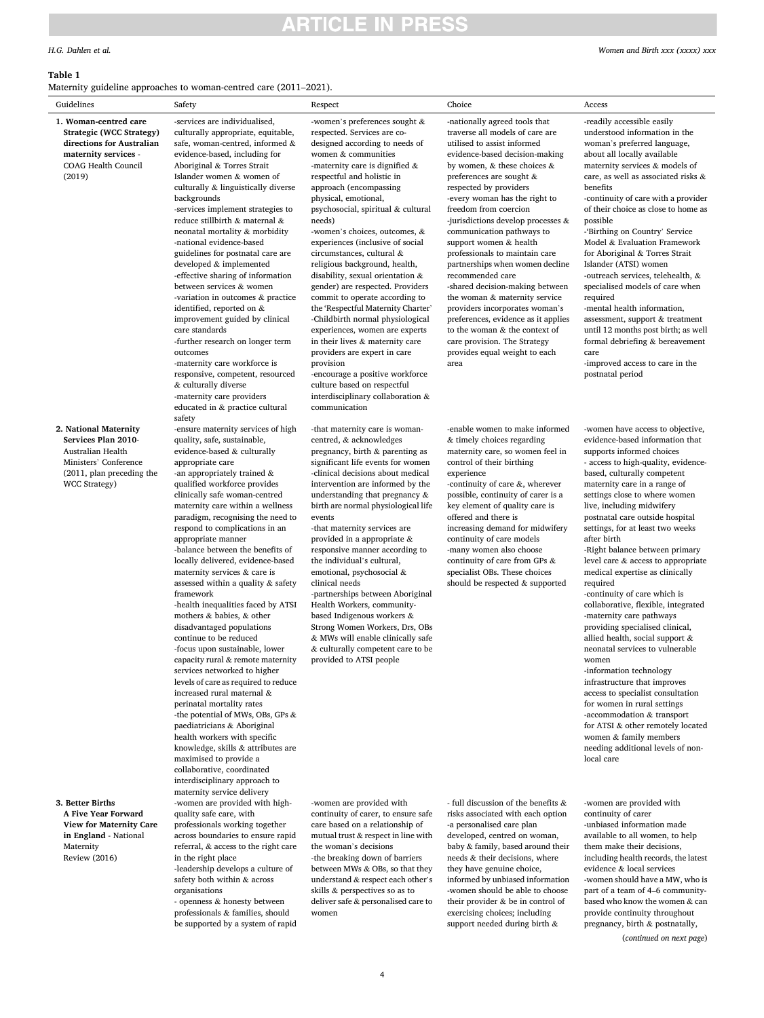## <span id="page-3-0"></span>**Table 1**

Maternity guideline approaches to woman-centred care (2011–2021).

| ט ט<br>r r                                                                                                                                            |                                                                                                                                                                                                                                                                                                                                                                                                                                                                                                                                                                                                                                                                                                                                                                                                                                                                                                                                                                                                                                                                                                  |                                                                                                                                                                                                                                                                                                                                                                                                                                                                                                                                                                                                                                                                                                                                                                                                                                                             |                                                                                                                                                                                                                                                                                                                                                                                                                                                                                                                                                                                                                                                                                                                                        |                                                                                                                                                                                                                                                                                                                                                                                                                                                                                                                                                                                                                                                                                                                                                                                                                                                                                                                                                                                       |
|-------------------------------------------------------------------------------------------------------------------------------------------------------|--------------------------------------------------------------------------------------------------------------------------------------------------------------------------------------------------------------------------------------------------------------------------------------------------------------------------------------------------------------------------------------------------------------------------------------------------------------------------------------------------------------------------------------------------------------------------------------------------------------------------------------------------------------------------------------------------------------------------------------------------------------------------------------------------------------------------------------------------------------------------------------------------------------------------------------------------------------------------------------------------------------------------------------------------------------------------------------------------|-------------------------------------------------------------------------------------------------------------------------------------------------------------------------------------------------------------------------------------------------------------------------------------------------------------------------------------------------------------------------------------------------------------------------------------------------------------------------------------------------------------------------------------------------------------------------------------------------------------------------------------------------------------------------------------------------------------------------------------------------------------------------------------------------------------------------------------------------------------|----------------------------------------------------------------------------------------------------------------------------------------------------------------------------------------------------------------------------------------------------------------------------------------------------------------------------------------------------------------------------------------------------------------------------------------------------------------------------------------------------------------------------------------------------------------------------------------------------------------------------------------------------------------------------------------------------------------------------------------|---------------------------------------------------------------------------------------------------------------------------------------------------------------------------------------------------------------------------------------------------------------------------------------------------------------------------------------------------------------------------------------------------------------------------------------------------------------------------------------------------------------------------------------------------------------------------------------------------------------------------------------------------------------------------------------------------------------------------------------------------------------------------------------------------------------------------------------------------------------------------------------------------------------------------------------------------------------------------------------|
| Guidelines                                                                                                                                            | Safety                                                                                                                                                                                                                                                                                                                                                                                                                                                                                                                                                                                                                                                                                                                                                                                                                                                                                                                                                                                                                                                                                           | Respect                                                                                                                                                                                                                                                                                                                                                                                                                                                                                                                                                                                                                                                                                                                                                                                                                                                     | Choice                                                                                                                                                                                                                                                                                                                                                                                                                                                                                                                                                                                                                                                                                                                                 | Access                                                                                                                                                                                                                                                                                                                                                                                                                                                                                                                                                                                                                                                                                                                                                                                                                                                                                                                                                                                |
| 1. Woman-centred care<br><b>Strategic (WCC Strategy)</b><br>directions for Australian<br>maternity services -<br><b>COAG Health Council</b><br>(2019) | -services are individualised,<br>culturally appropriate, equitable,<br>safe, woman-centred, informed $\&$<br>evidence-based, including for<br>Aboriginal & Torres Strait<br>Islander women & women of<br>culturally & linguistically diverse<br>backgrounds<br>-services implement strategies to<br>reduce stillbirth & maternal &<br>neonatal mortality & morbidity<br>-national evidence-based<br>guidelines for postnatal care are<br>developed & implemented<br>-effective sharing of information<br>between services & women<br>-variation in outcomes & practice<br>identified, reported on $&$<br>improvement guided by clinical<br>care standards<br>-further research on longer term<br>outcomes<br>-maternity care workforce is<br>responsive, competent, resourced<br>& culturally diverse<br>-maternity care providers<br>educated in & practice cultural<br>safety                                                                                                                                                                                                                  | -women's preferences sought &<br>respected. Services are co-<br>designed according to needs of<br>women & communities<br>-maternity care is dignified $\&$<br>respectful and holistic in<br>approach (encompassing<br>physical, emotional,<br>psychosocial, spiritual & cultural<br>needs)<br>-women's choices, outcomes, &<br>experiences (inclusive of social<br>circumstances, cultural &<br>religious background, health,<br>disability, sexual orientation &<br>gender) are respected. Providers<br>commit to operate according to<br>the 'Respectful Maternity Charter'<br>-Childbirth normal physiological<br>experiences, women are experts<br>in their lives & maternity care<br>providers are expert in care<br>provision<br>-encourage a positive workforce<br>culture based on respectful<br>interdisciplinary collaboration &<br>communication | -nationally agreed tools that<br>traverse all models of care are<br>utilised to assist informed<br>evidence-based decision-making<br>by women, $&$ these choices $&$<br>preferences are sought $&$<br>respected by providers<br>-every woman has the right to<br>freedom from coercion<br>-jurisdictions develop processes $\&$<br>communication pathways to<br>support women & health<br>professionals to maintain care<br>partnerships when women decline<br>recommended care<br>-shared decision-making between<br>the woman & maternity service<br>providers incorporates woman's<br>preferences, evidence as it applies<br>to the woman & the context of<br>care provision. The Strategy<br>provides equal weight to each<br>area | -readily accessible easily<br>understood information in the<br>woman's preferred language,<br>about all locally available<br>maternity services $&$ models of<br>care, as well as associated risks &<br>benefits<br>-continuity of care with a provider<br>of their choice as close to home as<br>possible<br>-'Birthing on Country' Service<br>Model & Evaluation Framework<br>for Aboriginal & Torres Strait<br>Islander (ATSI) women<br>-outreach services, telehealth, &<br>specialised models of care when<br>required<br>-mental health information,<br>assessment, support & treatment<br>until 12 months post birth; as well<br>formal debriefing & bereavement<br>care<br>-improved access to care in the<br>postnatal period                                                                                                                                                                                                                                                |
| 2. National Maternity<br>Services Plan 2010-<br>Australian Health<br>Ministers' Conference<br>(2011, plan preceding the<br>WCC Strategy)              | -ensure maternity services of high<br>quality, safe, sustainable,<br>evidence-based & culturally<br>appropriate care<br>-an appropriately trained &<br>qualified workforce provides<br>clinically safe woman-centred<br>maternity care within a wellness<br>paradigm, recognising the need to<br>respond to complications in an<br>appropriate manner<br>-balance between the benefits of<br>locally delivered, evidence-based<br>maternity services $&$ care is<br>assessed within a quality $\&$ safety<br>framework<br>-health inequalities faced by ATSI<br>mothers & babies, & other<br>disadvantaged populations<br>continue to be reduced<br>-focus upon sustainable, lower<br>capacity rural & remote maternity<br>services networked to higher<br>levels of care as required to reduce<br>increased rural maternal &<br>perinatal mortality rates<br>-the potential of MWs, OBs, GPs $\&$<br>paediatricians & Aboriginal<br>health workers with specific<br>knowledge, skills & attributes are<br>maximised to provide a<br>collaborative, coordinated<br>interdisciplinary approach to | -that maternity care is woman-<br>centred, & acknowledges<br>pregnancy, birth $\&$ parenting as<br>significant life events for women<br>-clinical decisions about medical<br>intervention are informed by the<br>understanding that pregnancy $\&$<br>birth are normal physiological life<br>events<br>-that maternity services are<br>provided in a appropriate $\&$<br>responsive manner according to<br>the individual's cultural,<br>emotional, psychosocial &<br>clinical needs<br>-partnerships between Aboriginal<br>Health Workers, community-<br>based Indigenous workers &<br>Strong Women Workers, Drs, OBs<br>& MWs will enable clinically safe<br>& culturally competent care to be<br>provided to ATSI people                                                                                                                                 | -enable women to make informed<br>& timely choices regarding<br>maternity care, so women feel in<br>control of their birthing<br>experience<br>-continuity of care $\&$ , wherever<br>possible, continuity of carer is a<br>key element of quality care is<br>offered and there is<br>increasing demand for midwifery<br>continuity of care models<br>-many women also choose<br>continuity of care from GPs &<br>specialist OBs. These choices<br>should be respected & supported                                                                                                                                                                                                                                                     | -women have access to objective,<br>evidence-based information that<br>supports informed choices<br>- access to high-quality, evidence-<br>based, culturally competent<br>maternity care in a range of<br>settings close to where women<br>live, including midwifery<br>postnatal care outside hospital<br>settings, for at least two weeks<br>after birth<br>-Right balance between primary<br>level care & access to appropriate<br>medical expertise as clinically<br>required<br>-continuity of care which is<br>collaborative, flexible, integrated<br>-maternity care pathways<br>providing specialised clinical,<br>allied health, social support &<br>neonatal services to vulnerable<br>women<br>-information technology<br>infrastructure that improves<br>access to specialist consultation<br>for women in rural settings<br>-accommodation & transport<br>for ATSI & other remotely located<br>women & family members<br>needing additional levels of non-<br>local care |
| 3. Better Births<br>A Five Year Forward<br><b>View for Maternity Care</b><br>in England - National<br>Maternity<br><b>Review (2016)</b>               | maternity service delivery<br>-women are provided with high-<br>quality safe care, with<br>professionals working together<br>across boundaries to ensure rapid<br>referral, & access to the right care<br>in the right place<br>-leadership develops a culture of<br>safety both within & across<br>organisations<br>- openness & honesty between<br>professionals & families, should<br>be supported by a system of rapid                                                                                                                                                                                                                                                                                                                                                                                                                                                                                                                                                                                                                                                                       | -women are provided with<br>continuity of carer, to ensure safe<br>care based on a relationship of<br>mutual trust & respect in line with<br>the woman's decisions<br>-the breaking down of barriers<br>between MWs & OBs, so that they<br>understand & respect each other's<br>skills & perspectives so as to<br>deliver safe & personalised care to<br>women                                                                                                                                                                                                                                                                                                                                                                                                                                                                                              | - full discussion of the benefits &<br>risks associated with each option<br>-a personalised care plan<br>developed, centred on woman,<br>baby & family, based around their<br>needs & their decisions, where<br>they have genuine choice,<br>informed by unbiased information<br>-women should be able to choose<br>their provider $&$ be in control of<br>exercising choices; including<br>support needed during birth &                                                                                                                                                                                                                                                                                                              | -women are provided with<br>continuity of carer<br>-unbiased information made<br>available to all women, to help<br>them make their decisions,<br>including health records, the latest<br>evidence & local services<br>-women should have a MW, who is<br>part of a team of 4–6 community-<br>based who know the women & can<br>provide continuity throughout<br>pregnancy, birth & postnatally,                                                                                                                                                                                                                                                                                                                                                                                                                                                                                                                                                                                      |

(*continued on next page*)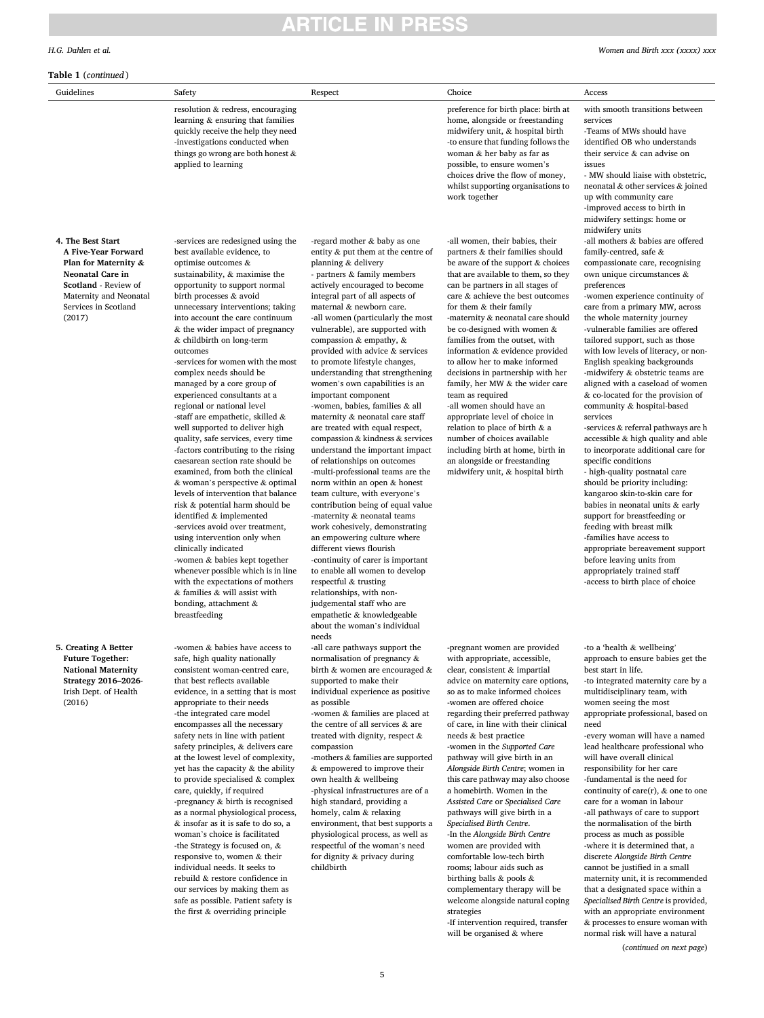*Women and Birth xxx (xxxx) xxx*

| Guidelines                                                                                                                                                                             | Safety                                                                                                                                                                                                                                                                                                                                                                                                     | Respect                                                                                                                                                                                                                                                                                                                                                                                                                                   | Choice                                                                                                                                                                                                                                                                                                                                                                                                                                                               | Access                                                                                                                                                                                                                                                                                                                                                                                                                             |
|----------------------------------------------------------------------------------------------------------------------------------------------------------------------------------------|------------------------------------------------------------------------------------------------------------------------------------------------------------------------------------------------------------------------------------------------------------------------------------------------------------------------------------------------------------------------------------------------------------|-------------------------------------------------------------------------------------------------------------------------------------------------------------------------------------------------------------------------------------------------------------------------------------------------------------------------------------------------------------------------------------------------------------------------------------------|----------------------------------------------------------------------------------------------------------------------------------------------------------------------------------------------------------------------------------------------------------------------------------------------------------------------------------------------------------------------------------------------------------------------------------------------------------------------|------------------------------------------------------------------------------------------------------------------------------------------------------------------------------------------------------------------------------------------------------------------------------------------------------------------------------------------------------------------------------------------------------------------------------------|
|                                                                                                                                                                                        | resolution & redress, encouraging<br>learning & ensuring that families<br>quickly receive the help they need<br>-investigations conducted when<br>things go wrong are both honest $\&$<br>applied to learning                                                                                                                                                                                              |                                                                                                                                                                                                                                                                                                                                                                                                                                           | preference for birth place: birth at<br>home, alongside or freestanding<br>midwifery unit, & hospital birth<br>-to ensure that funding follows the<br>woman & her baby as far as<br>possible, to ensure women's<br>choices drive the flow of money,<br>whilst supporting organisations to<br>work together                                                                                                                                                           | with smooth transitions between<br>services<br>-Teams of MWs should have<br>identified OB who understands<br>their service & can advise on<br>issues<br>- MW should liaise with obstetric,<br>neonatal & other services & joined<br>up with community care<br>-improved access to birth in<br>midwifery settings: home or<br>midwifery units                                                                                       |
| 4. The Best Start<br>A Five-Year Forward<br>Plan for Maternity &<br><b>Neonatal Care in</b><br><b>Scotland</b> - Review of<br>Maternity and Neonatal<br>Services in Scotland<br>(2017) | -services are redesigned using the<br>best available evidence, to<br>optimise outcomes &<br>sustainability, & maximise the<br>opportunity to support normal<br>birth processes & avoid<br>unnecessary interventions; taking<br>into account the care continuum<br>& the wider impact of pregnancy<br>& childbirth on long-term<br>outcomes<br>-services for women with the most<br>complex needs should be | -regard mother & baby as one<br>entity & put them at the centre of<br>planning & delivery<br>- partners & family members<br>actively encouraged to become<br>integral part of all aspects of<br>maternal & newborn care.<br>-all women (particularly the most<br>vulnerable), are supported with<br>compassion $\&$ empathy, $\&$<br>provided with advice & services<br>to promote lifestyle changes,<br>understanding that strengthening | -all women, their babies, their<br>partners & their families should<br>be aware of the support & choices<br>that are available to them, so they<br>can be partners in all stages of<br>care $\&$ achieve the best outcomes<br>for them & their family<br>-maternity & neonatal care should<br>be co-designed with women &<br>families from the outset, with<br>information & evidence provided<br>to allow her to make informed<br>decisions in partnership with her | -all mothers & babies are offered<br>family-centred, safe &<br>compassionate care, recognising<br>own unique circumstances &<br>preferences<br>-women experience continuity of<br>care from a primary MW, across<br>the whole maternity journey<br>-vulnerable families are offered<br>tailored support, such as those<br>with low levels of literacy, or non-<br>English speaking backgrounds<br>-midwifery & obstetric teams are |

*H.G. Dahlen et al.* 

**5. Creating A Better Future Together: National Maternity Strategy 2016–2026**- Irish Dept. of Health (2016)

that best reflects available evidence, in a setting that is most appropriate to their needs -the integrated care model encompasses all the necessary safety nets in line with patient safety principles, & delivers care at the lowest level of complexity, yet has the capacity & the ability to provide specialised & complex care, quickly, if required -pregnancy & birth is recognised as a normal physiological process, & insofar as it is safe to do so, a woman's choice is facilitated -the Strategy is focused on, & responsive to, women & their individual needs. It seeks to

-women & babies have access to safe, high quality nationally consistent woman-centred care,

rebuild & restore confidence in our services by making them as safe as possible. Patient safety is the first & overriding principle

managed by a core group of experienced consultants at a regional or national level -staff are empathetic, skilled  $\&$ well supported to deliver high quality, safe services, every time -factors contributing to the rising caesarean section rate should be examined, from both the clinical & woman's perspective & optimal levels of intervention that balance risk & potential harm should be identified & implemented -services avoid over treatment, using intervention only when clinically indicated -women & babies kept together whenever possible which is in line with the expectations of mothers  $\&$  families  $\&$  will assist with bonding, attachment & breastfeeding

understanding that strengthening women's own capabilities is an important component -women, babies, families & all maternity & neonatal care staff are treated with equal respect, compassion & kindness & services understand the important impact of relationships on outcomes -multi-professional teams are the norm within an open & honest team culture, with everyone's contribution being of equal value -maternity & neonatal teams work cohesively, demonstrating an empowering culture where different views flourish -continuity of carer is important to enable all women to develop respectful & trusting relationships, with nonjudgemental staff who are empathetic & knowledgeable about the woman's individual needs -all care pathways support the normalisation of pregnancy & birth & women are encouraged & supported to make their individual experience as positive as possible -women & families are placed at the centre of all services & are treated with dignity, respect & compassion -mothers & families are supported & empowered to improve their own health & wellbeing

-physical infrastructures are of a high standard, providing a homely, calm & relaxing environment, that best supports a physiological process, as well as respectful of the woman's need for dignity & privacy during childbirth

decisions in partnership with her family, her MW & the wider care team as required -all women should have an

appropriate level of choice in relation to place of birth & a number of choices available including birth at home, birth in an alongside or freestanding midwifery unit, & hospital birth

-pregnant women are provided with appropriate, accessible, clear, consistent & impartial advice on maternity care options, so as to make informed choices -women are offered choice regarding their preferred pathway of care, in line with their clinical needs & best practice -women in the *Supported Care*  pathway will give birth in an *Alongside Birth Centre*; women in this care pathway may also choose a homebirth. Women in the *Assisted Care* or *Specialised Care*  pathways will give birth in a *Specialised Birth Centre*. -In the *Alongside Birth Centre*  women are provided with comfortable low-tech birth rooms; labour aids such as birthing balls & pools & complementary therapy will be welcome alongside natural coping strategies -If intervention required, transfer

will be organised & where

munity care -improved access to birth in ettings: home or mite  $&$  babies are offered ed, safe & ate care, recognising circumstances  $\&$ erience continuity of primary MW, across aternity journey families are offered port, such as those rels of literacy, or nonaking backgrounds -midwifery & obstetric teams are aligned with a caseload of women & co-located for the provision of community & hospital-based services -services & referral pathways are h

accessible & high quality and able to incorporate additional care for specific conditions

- high-quality postnatal care should be priority including: kangaroo skin-to-skin care for babies in neonatal units & early support for breastfeeding or feeding with breast milk -families have access to appropriate bereavement support before leaving units from appropriately trained staff -access to birth place of choice

-to a 'health & wellbeing' approach to ensure babies get the best start in life. -to integrated maternity care by a multidisciplinary team, with women seeing the most appropriate professional, based on need -every woman will have a named lead healthcare professional who will have overall clinical responsibility for her care -fundamental is the need for continuity of care(r), & one to one care for a woman in labour -all pathways of care to support the normalisation of the birth process as much as possible -where it is determined that, a discrete *Alongside Birth Centre*  cannot be justified in a small maternity unit, it is recommended that a designated space within a *Specialised Birth Centre* is provided, with an appropriate environment & processes to ensure woman with normal risk will have a natural

(*continued on next page*)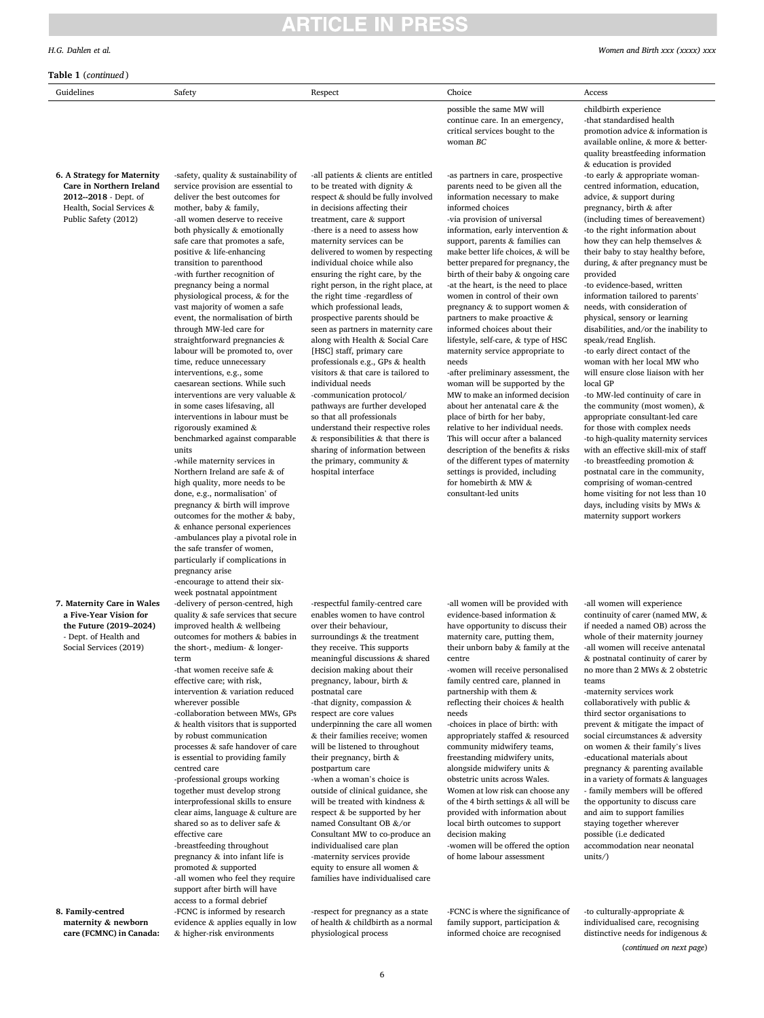## RTICI E IN PRES

### *H.G. Dahlen et al.*

## **Table 1** (*continued* )

| Guidelines | safety | Respec <sup>+</sup> | Choice | Access |
|------------|--------|---------------------|--------|--------|

**6. A Strategy for Maternity Care in Northern Ireland 2012--2018** - Dept. of Health, Social Services & Public Safety (2012)

**7. Maternity Care in Wales a Five-Year Vision for the Future (2019–2024)**  - Dept. of Health and Social Services (2019)

**8. Family-centred maternity & newborn care (FCMNC) in Canada:**  -safety, quality & sustainability of service provision are essential to deliver the best outcomes for mother, baby & family, -all women deserve to receive both physically & emotionally safe care that promotes a safe, positive & life-enhancing transition to parenthood -with further recognition of pregnancy being a normal physiological process, & for the vast majority of women a safe event, the normalisation of birth through MW-led care for straightforward pregnancies & labour will be promoted to, over time, reduce unnecessary interventions, e.g., some caesarean sections. While such interventions are very valuable & in some cases lifesaving, all interventions in labour must be rigorously examined & benchmarked against comparable units -while maternity services in Northern Ireland are safe & of high quality, more needs to be done, e.g., normalisation' of pregnancy & birth will improve outcomes for the mother & baby, & enhance personal experiences -ambulances play a pivotal role in the safe transfer of women, particularly if complications in

pregnancy arise -encourage to attend their sixweek postnatal appointment -delivery of person-centred, high quality & safe services that secure improved health & wellbeing outcomes for mothers & babies in the short-, medium- & longerterm -that women receive safe & effective care; with risk,

intervention & variation reduced wherever possible -collaboration between MWs, GPs & health visitors that is supported by robust communication processes & safe handover of care is essential to providing family centred care -professional groups working together must develop strong interprofessional skills to ensure clear aims, language & culture are shared so as to deliver safe & effective care -breastfeeding throughout pregnancy & into infant life is promoted & supported -all women who feel they require support after birth will have access to a formal debrief -FCNC is informed by research evidence & applies equally in low & higher-risk environments

-all patients & clients are entitled to be treated with dignity & respect & should be fully involved in decisions affecting their treatment, care & support -there is a need to assess how maternity services can be delivered to women by respecting individual choice while also ensuring the right care, by the right person, in the right place, at the right time -regardless of which professional leads, prospective parents should be seen as partners in maternity care along with Health & Social Care [HSC] staff, primary care professionals e.g., GPs & health visitors & that care is tailored to individual needs -communication protocol/ pathways are further developed so that all professionals understand their respective roles  $&$  responsibilities  $&$  that there is sharing of information between the primary, community &

hospital interface

-respectful family-centred care enables women to have control over their behaviour, surroundings & the treatment they receive. This supports meaningful discussions & shared decision making about their pregnancy, labour, birth & postnatal care -that dignity, compassion & respect are core values underpinning the care all women & their families receive; women will be listened to throughout their pregnancy, birth & postpartum care -when a woman's choice is outside of clinical guidance, she will be treated with kindness & respect & be supported by her named Consultant OB &/or Consultant MW to co-produce an individualised care plan -maternity services provide equity to ensure all women & families have individualised care

-respect for pregnancy as a state of health & childbirth as a normal physiological process

possible the same MW will continue care. In an emergency, critical services bought to the woman *BC* 

-as partners in care, prospective parents need to be given all the information necessary to make informed choices -via provision of universal information, early intervention & support, parents & families can make better life choices, & will be better prepared for pregnancy, the birth of their baby & ongoing care -at the heart, is the need to place women in control of their own pregnancy & to support women & partners to make proactive & informed choices about their lifestyle, self-care, & type of HSC maternity service appropriate to needs

-after preliminary assessment, the woman will be supported by the MW to make an informed decision about her antenatal care & the place of birth for her baby, relative to her individual needs. This will occur after a balanced description of the benefits & risks of the different types of maternity settings is provided, including for homebirth & MW & consultant-led units

## childbirth experience -that standardised health promotion advice & information is available online, & more & betterquality breastfeeding information  $\alpha$  education is provided -to early & appropriate womancentred information, education, advice, & support during pregnancy, birth & after (including times of bereavement) -to the right information about how they can help themselves & their baby to stay healthy before, during, & after pregnancy must be

provided -to evidence-based, written information tailored to parents' needs, with consideration of physical, sensory or learning disabilities, and/or the inability to speak/read English. -to early direct contact of the

woman with her local MW who will ensure close liaison with her local GP

-to MW-led continuity of care in the community (most women), & appropriate consultant-led care for those with complex needs -to high-quality maternity services with an effective skill-mix of staff -to breastfeeding promotion & postnatal care in the community, comprising of woman-centred home visiting for not less than 10 days, including visits by MWs & maternity support workers

-all women will be provided with evidence-based information & have opportunity to discuss their maternity care, putting them, their unborn baby & family at the centre

-women will receive personalised family centred care, planned in partnership with them & reflecting their choices & health needs

-choices in place of birth: with appropriately staffed & resourced community midwifery teams, freestanding midwifery units, alongside midwifery units & obstetric units across Wales. Women at low risk can choose any of the 4 birth settings & all will be provided with information about local birth outcomes to support decision making -women will be offered the option of home labour assessment

-FCNC is where the significance of family support, participation & informed choice are recognised

-all women will experience continuity of carer (named MW, & if needed a named OB) across the whole of their maternity journey -all women will receive antenatal & postnatal continuity of carer by no more than 2 MWs & 2 obstetric teams

-maternity services work collaboratively with public & third sector organisations to prevent & mitigate the impact of social circumstances & adversity on women & their family's lives -educational materials about pregnancy & parenting available in a variety of formats & languages - family members will be offered the opportunity to discuss care and aim to support families staying together wherever possible (i.e dedicated accommodation near neonatal  $units/$ 

-to culturally-appropriate & individualised care, recognising distinctive needs for indigenous & (*continued on next page*)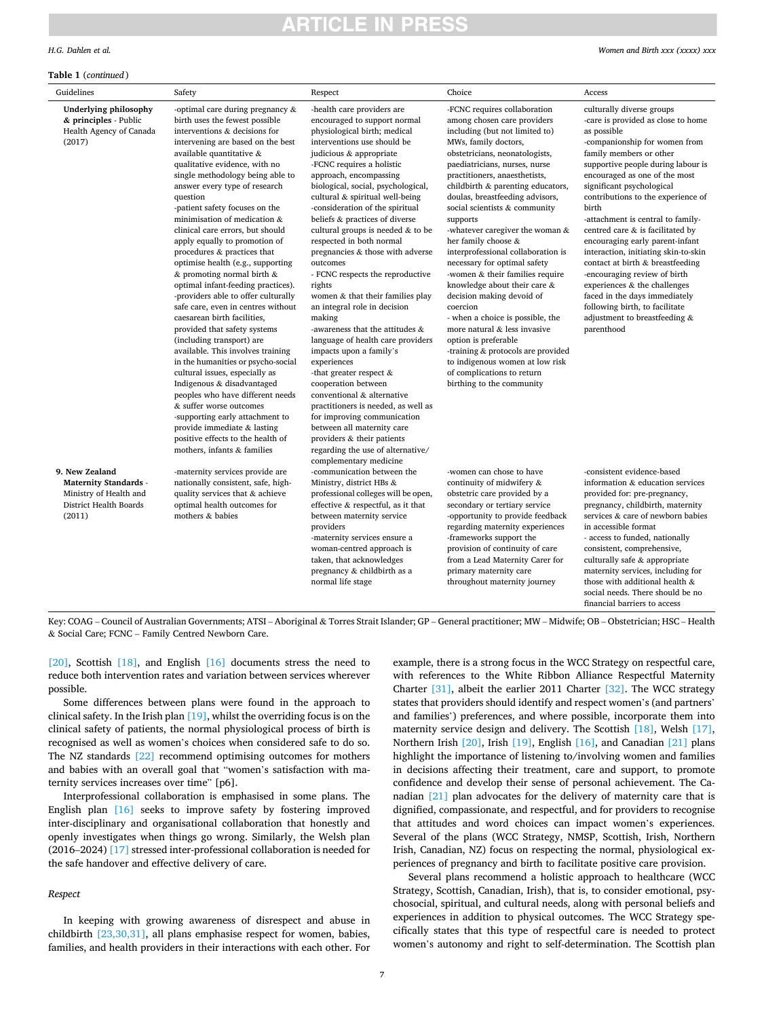### *H.G. Dahlen et al.*

### **Table 1** (*continued* )

| Women and Birth xxx (xxxx) xxx |  |  |  |
|--------------------------------|--|--|--|
|--------------------------------|--|--|--|

| Guidelines                                                                                                   | Safety                                                                                                                                                                                                                                                                                                                                                                                                                                                                                                                                                                                                                                                                                                                                                                                                                                                                                                                                                                                                                                                                                                   | Respect                                                                                                                                                                                                                                                                                                                                                                                                                                                                                                                                                                                                                                                                                                                                                                                                                                                                                                                                                                                                           | Choice                                                                                                                                                                                                                                                                                                                                                                                                                                                                                                                                                                                                                                                                                                                                                                                                                          | Access                                                                                                                                                                                                                                                                                                                                                                                                                                                                                                                                                                                                                                                                     |
|--------------------------------------------------------------------------------------------------------------|----------------------------------------------------------------------------------------------------------------------------------------------------------------------------------------------------------------------------------------------------------------------------------------------------------------------------------------------------------------------------------------------------------------------------------------------------------------------------------------------------------------------------------------------------------------------------------------------------------------------------------------------------------------------------------------------------------------------------------------------------------------------------------------------------------------------------------------------------------------------------------------------------------------------------------------------------------------------------------------------------------------------------------------------------------------------------------------------------------|-------------------------------------------------------------------------------------------------------------------------------------------------------------------------------------------------------------------------------------------------------------------------------------------------------------------------------------------------------------------------------------------------------------------------------------------------------------------------------------------------------------------------------------------------------------------------------------------------------------------------------------------------------------------------------------------------------------------------------------------------------------------------------------------------------------------------------------------------------------------------------------------------------------------------------------------------------------------------------------------------------------------|---------------------------------------------------------------------------------------------------------------------------------------------------------------------------------------------------------------------------------------------------------------------------------------------------------------------------------------------------------------------------------------------------------------------------------------------------------------------------------------------------------------------------------------------------------------------------------------------------------------------------------------------------------------------------------------------------------------------------------------------------------------------------------------------------------------------------------|----------------------------------------------------------------------------------------------------------------------------------------------------------------------------------------------------------------------------------------------------------------------------------------------------------------------------------------------------------------------------------------------------------------------------------------------------------------------------------------------------------------------------------------------------------------------------------------------------------------------------------------------------------------------------|
| Underlying philosophy<br>& principles - Public<br>Health Agency of Canada<br>(2017)                          | -optimal care during pregnancy $\&$<br>birth uses the fewest possible<br>interventions & decisions for<br>intervening are based on the best<br>available quantitative $\&$<br>qualitative evidence, with no<br>single methodology being able to<br>answer every type of research<br>question<br>-patient safety focuses on the<br>minimisation of medication &<br>clinical care errors, but should<br>apply equally to promotion of<br>procedures & practices that<br>optimise health (e.g., supporting<br>$&$ promoting normal birth $&$<br>optimal infant-feeding practices).<br>-providers able to offer culturally<br>safe care, even in centres without<br>caesarean birth facilities,<br>provided that safety systems<br>(including transport) are<br>available. This involves training<br>in the humanities or psycho-social<br>cultural issues, especially as<br>Indigenous & disadvantaged<br>peoples who have different needs<br>& suffer worse outcomes<br>-supporting early attachment to<br>provide immediate & lasting<br>positive effects to the health of<br>mothers, infants & families | -health care providers are<br>encouraged to support normal<br>physiological birth; medical<br>interventions use should be<br>judicious & appropriate<br>-FCNC requires a holistic<br>approach, encompassing<br>biological, social, psychological,<br>cultural & spiritual well-being<br>-consideration of the spiritual<br>beliefs & practices of diverse<br>cultural groups is needed $&$ to be<br>respected in both normal<br>pregnancies & those with adverse<br>outcomes<br>- FCNC respects the reproductive<br>rights<br>women & that their families play<br>an integral role in decision<br>making<br>-awareness that the attitudes $\&$<br>language of health care providers<br>impacts upon a family's<br>experiences<br>-that greater respect $\&$<br>cooperation between<br>conventional & alternative<br>practitioners is needed, as well as<br>for improving communication<br>between all maternity care<br>providers & their patients<br>regarding the use of alternative/<br>complementary medicine | -FCNC requires collaboration<br>among chosen care providers<br>including (but not limited to)<br>MWs, family doctors,<br>obstetricians, neonatologists,<br>paediatricians, nurses, nurse<br>practitioners, anaesthetists,<br>childbirth & parenting educators,<br>doulas, breastfeeding advisors,<br>social scientists & community<br>supports<br>-whatever caregiver the woman $\&$<br>her family choose &<br>interprofessional collaboration is<br>necessary for optimal safety<br>-women $&$ their families require<br>knowledge about their care &<br>decision making devoid of<br>coercion<br>- when a choice is possible, the<br>more natural & less invasive<br>option is preferable<br>-training & protocols are provided<br>to indigenous women at low risk<br>of complications to return<br>birthing to the community | culturally diverse groups<br>-care is provided as close to home<br>as possible<br>-companionship for women from<br>family members or other<br>supportive people during labour is<br>encouraged as one of the most<br>significant psychological<br>contributions to the experience of<br>birth<br>-attachment is central to family-<br>centred care & is facilitated by<br>encouraging early parent-infant<br>interaction, initiating skin-to-skin<br>contact at birth & breastfeeding<br>-encouraging review of birth<br>experiences & the challenges<br>faced in the days immediately<br>following birth, to facilitate<br>adjustment to breastfeeding $\&$<br>parenthood |
| 9. New Zealand<br><b>Maternity Standards -</b><br>Ministry of Health and<br>District Health Boards<br>(2011) | -maternity services provide are<br>nationally consistent, safe, high-<br>quality services that & achieve<br>optimal health outcomes for<br>mothers & babies                                                                                                                                                                                                                                                                                                                                                                                                                                                                                                                                                                                                                                                                                                                                                                                                                                                                                                                                              | -communication between the<br>Ministry, district HBs &<br>professional colleges will be open,<br>effective & respectful, as it that<br>between maternity service<br>providers<br>-maternity services ensure a<br>woman-centred approach is<br>taken, that acknowledges<br>pregnancy & childbirth as a<br>normal life stage                                                                                                                                                                                                                                                                                                                                                                                                                                                                                                                                                                                                                                                                                        | -women can chose to have<br>continuity of midwifery $\&$<br>obstetric care provided by a<br>secondary or tertiary service<br>-opportunity to provide feedback<br>regarding maternity experiences<br>-frameworks support the<br>provision of continuity of care<br>from a Lead Maternity Carer for<br>primary maternity care<br>throughout maternity journey                                                                                                                                                                                                                                                                                                                                                                                                                                                                     | -consistent evidence-based<br>information & education services<br>provided for: pre-pregnancy,<br>pregnancy, childbirth, maternity<br>services & care of newborn babies<br>in accessible format<br>- access to funded, nationally<br>consistent, comprehensive,<br>culturally safe & appropriate<br>maternity services, including for<br>those with additional health &<br>social needs. There should be no<br>financial harriers to access                                                                                                                                                                                                                                |

Key: COAG – Council of Australian Governments; ATSI – Aboriginal & Torres Strait Islander; GP – General practitioner; MW – Midwife; OB – Obstetrician; HSC – Health & Social Care; FCNC – Family Centred Newborn Care.

[\[20\]](#page-11-0), Scottish [\[18\]](#page-11-0), and English [\[16\]](#page-11-0) documents stress the need to reduce both intervention rates and variation between services wherever possible.

Some differences between plans were found in the approach to clinical safety. In the Irish plan [\[19\]](#page-11-0), whilst the overriding focus is on the clinical safety of patients, the normal physiological process of birth is recognised as well as women's choices when considered safe to do so. The NZ standards [\[22\]](#page-11-0) recommend optimising outcomes for mothers and babies with an overall goal that "women's satisfaction with maternity services increases over time" [p6].

Interprofessional collaboration is emphasised in some plans. The English plan [\[16\]](#page-11-0) seeks to improve safety by fostering improved inter-disciplinary and organisational collaboration that honestly and openly investigates when things go wrong. Similarly, the Welsh plan (2016–2024) [\[17\]](#page-11-0) stressed inter-professional collaboration is needed for the safe handover and effective delivery of care.

## *Respect*

In keeping with growing awareness of disrespect and abuse in childbirth [\[23,30,31\],](#page-11-0) all plans emphasise respect for women, babies, families, and health providers in their interactions with each other. For

example, there is a strong focus in the WCC Strategy on respectful care, with references to the White Ribbon Alliance Respectful Maternity Charter [\[31\],](#page-11-0) albeit the earlier 2011 Charter [\[32\]](#page-11-0). The WCC strategy states that providers should identify and respect women's (and partners' and families') preferences, and where possible, incorporate them into maternity service design and delivery. The Scottish [\[18\]](#page-11-0), Welsh [\[17\]](#page-11-0), Northern Irish [\[20\],](#page-11-0) Irish [\[19\],](#page-11-0) English [\[16\]](#page-11-0), and Canadian [\[21\]](#page-11-0) plans highlight the importance of listening to/involving women and families in decisions affecting their treatment, care and support, to promote confidence and develop their sense of personal achievement. The Canadian [\[21\]](#page-11-0) plan advocates for the delivery of maternity care that is dignified, compassionate, and respectful, and for providers to recognise that attitudes and word choices can impact women's experiences. Several of the plans (WCC Strategy, NMSP, Scottish, Irish, Northern Irish, Canadian, NZ) focus on respecting the normal, physiological experiences of pregnancy and birth to facilitate positive care provision.

Several plans recommend a holistic approach to healthcare (WCC Strategy, Scottish, Canadian, Irish), that is, to consider emotional, psychosocial, spiritual, and cultural needs, along with personal beliefs and experiences in addition to physical outcomes. The WCC Strategy specifically states that this type of respectful care is needed to protect women's autonomy and right to self-determination. The Scottish plan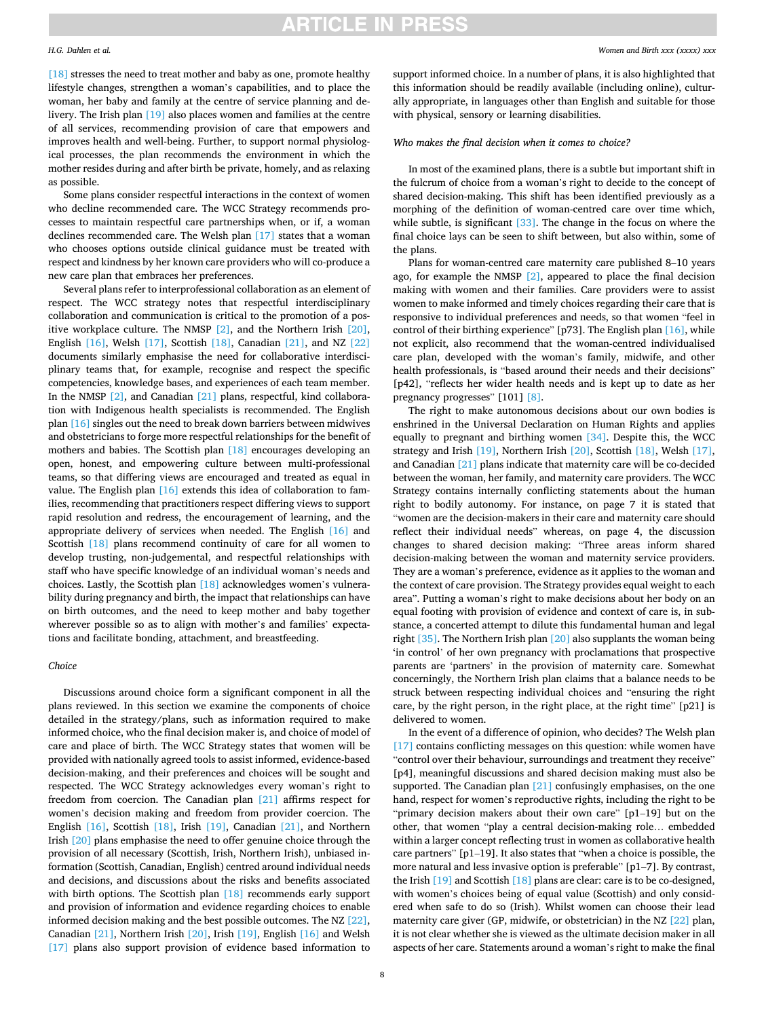## *H.G. Dahlen et al.*

[\[18\]](#page-11-0) stresses the need to treat mother and baby as one, promote healthy lifestyle changes, strengthen a woman's capabilities, and to place the woman, her baby and family at the centre of service planning and delivery. The Irish plan [\[19\]](#page-11-0) also places women and families at the centre of all services, recommending provision of care that empowers and improves health and well-being. Further, to support normal physiological processes, the plan recommends the environment in which the mother resides during and after birth be private, homely, and as relaxing as possible.

Some plans consider respectful interactions in the context of women who decline recommended care. The WCC Strategy recommends processes to maintain respectful care partnerships when, or if, a woman declines recommended care. The Welsh plan [\[17\]](#page-11-0) states that a woman who chooses options outside clinical guidance must be treated with respect and kindness by her known care providers who will co-produce a new care plan that embraces her preferences.

Several plans refer to interprofessional collaboration as an element of respect. The WCC strategy notes that respectful interdisciplinary collaboration and communication is critical to the promotion of a positive workplace culture. The NMSP [\[2\],](#page-11-0) and the Northern Irish [\[20\]](#page-11-0), English  $[16]$ , Welsh  $[17]$ , Scottish  $[18]$ , Canadian  $[21]$ , and NZ  $[22]$ documents similarly emphasise the need for collaborative interdisciplinary teams that, for example, recognise and respect the specific competencies, knowledge bases, and experiences of each team member. In the NMSP [\[2\],](#page-11-0) and Canadian [\[21\]](#page-11-0) plans, respectful, kind collaboration with Indigenous health specialists is recommended. The English plan [\[16\]](#page-11-0) singles out the need to break down barriers between midwives and obstetricians to forge more respectful relationships for the benefit of mothers and babies. The Scottish plan [\[18\]](#page-11-0) encourages developing an open, honest, and empowering culture between multi-professional teams, so that differing views are encouraged and treated as equal in value. The English plan [\[16\]](#page-11-0) extends this idea of collaboration to families, recommending that practitioners respect differing views to support rapid resolution and redress, the encouragement of learning, and the appropriate delivery of services when needed. The English [\[16\]](#page-11-0) and Scottish [\[18\]](#page-11-0) plans recommend continuity of care for all women to develop trusting, non-judgemental, and respectful relationships with staff who have specific knowledge of an individual woman's needs and choices. Lastly, the Scottish plan [\[18\]](#page-11-0) acknowledges women's vulnerability during pregnancy and birth, the impact that relationships can have on birth outcomes, and the need to keep mother and baby together wherever possible so as to align with mother's and families' expectations and facilitate bonding, attachment, and breastfeeding.

## *Choice*

Discussions around choice form a significant component in all the plans reviewed. In this section we examine the components of choice detailed in the strategy/plans, such as information required to make informed choice, who the final decision maker is, and choice of model of care and place of birth. The WCC Strategy states that women will be provided with nationally agreed tools to assist informed, evidence-based decision-making, and their preferences and choices will be sought and respected. The WCC Strategy acknowledges every woman's right to freedom from coercion. The Canadian plan [\[21\]](#page-11-0) affirms respect for women's decision making and freedom from provider coercion. The English [\[16\],](#page-11-0) Scottish [\[18\]](#page-11-0), Irish [\[19\]](#page-11-0), Canadian [\[21\]](#page-11-0), and Northern Irish [\[20\]](#page-11-0) plans emphasise the need to offer genuine choice through the provision of all necessary (Scottish, Irish, Northern Irish), unbiased information (Scottish, Canadian, English) centred around individual needs and decisions, and discussions about the risks and benefits associated with birth options. The Scottish plan [\[18\]](#page-11-0) recommends early support and provision of information and evidence regarding choices to enable informed decision making and the best possible outcomes. The NZ [\[22\]](#page-11-0), Canadian [\[21\],](#page-11-0) Northern Irish [\[20\],](#page-11-0) Irish [\[19\],](#page-11-0) English [\[16\]](#page-11-0) and Welsh [\[17\]](#page-11-0) plans also support provision of evidence based information to

support informed choice. In a number of plans, it is also highlighted that this information should be readily available (including online), culturally appropriate, in languages other than English and suitable for those with physical, sensory or learning disabilities.

## *Who makes the final decision when it comes to choice?*

In most of the examined plans, there is a subtle but important shift in the fulcrum of choice from a woman's right to decide to the concept of shared decision-making. This shift has been identified previously as a morphing of the definition of woman-centred care over time which, while subtle, is significant [\[33\].](#page-11-0) The change in the focus on where the final choice lays can be seen to shift between, but also within, some of the plans.

Plans for woman-centred care maternity care published 8–10 years ago, for example the NMSP [\[2\]](#page-11-0), appeared to place the final decision making with women and their families. Care providers were to assist women to make informed and timely choices regarding their care that is responsive to individual preferences and needs, so that women "feel in control of their birthing experience" [p73]. The English plan [\[16\]](#page-11-0), while not explicit, also recommend that the woman-centred individualised care plan, developed with the woman's family, midwife, and other health professionals, is "based around their needs and their decisions" [p42], "reflects her wider health needs and is kept up to date as her pregnancy progresses" [101] [\[8\].](#page-11-0)

The right to make autonomous decisions about our own bodies is enshrined in the Universal Declaration on Human Rights and applies equally to pregnant and birthing women [\[34\].](#page-11-0) Despite this, the WCC strategy and Irish [\[19\],](#page-11-0) Northern Irish [\[20\]](#page-11-0), Scottish [\[18\]](#page-11-0), Welsh [\[17\]](#page-11-0), and Canadian [\[21\]](#page-11-0) plans indicate that maternity care will be co-decided between the woman, her family, and maternity care providers. The WCC Strategy contains internally conflicting statements about the human right to bodily autonomy. For instance, on page 7 it is stated that "women are the decision-makers in their care and maternity care should reflect their individual needs" whereas, on page 4, the discussion changes to shared decision making: "Three areas inform shared decision-making between the woman and maternity service providers. They are a woman's preference, evidence as it applies to the woman and the context of care provision. The Strategy provides equal weight to each area". Putting a woman's right to make decisions about her body on an equal footing with provision of evidence and context of care is, in substance, a concerted attempt to dilute this fundamental human and legal right [\[35\]](#page-11-0). The Northern Irish plan [\[20\]](#page-11-0) also supplants the woman being 'in control' of her own pregnancy with proclamations that prospective parents are 'partners' in the provision of maternity care. Somewhat concerningly, the Northern Irish plan claims that a balance needs to be struck between respecting individual choices and "ensuring the right care, by the right person, in the right place, at the right time" [p21] is delivered to women.

In the event of a difference of opinion, who decides? The Welsh plan [\[17\]](#page-11-0) contains conflicting messages on this question: while women have "control over their behaviour, surroundings and treatment they receive" [p4], meaningful discussions and shared decision making must also be supported. The Canadian plan [\[21\]](#page-11-0) confusingly emphasises, on the one hand, respect for women's reproductive rights, including the right to be "primary decision makers about their own care" [p1–19] but on the other, that women "play a central decision-making role… embedded within a larger concept reflecting trust in women as collaborative health care partners" [p1–19]. It also states that "when a choice is possible, the more natural and less invasive option is preferable" [p1–7]. By contrast, the Irish [\[19\]](#page-11-0) and Scottish [\[18\]](#page-11-0) plans are clear: care is to be co-designed, with women's choices being of equal value (Scottish) and only considered when safe to do so (Irish). Whilst women can choose their lead maternity care giver (GP, midwife, or obstetrician) in the NZ [\[22\]](#page-11-0) plan, it is not clear whether she is viewed as the ultimate decision maker in all aspects of her care. Statements around a woman's right to make the final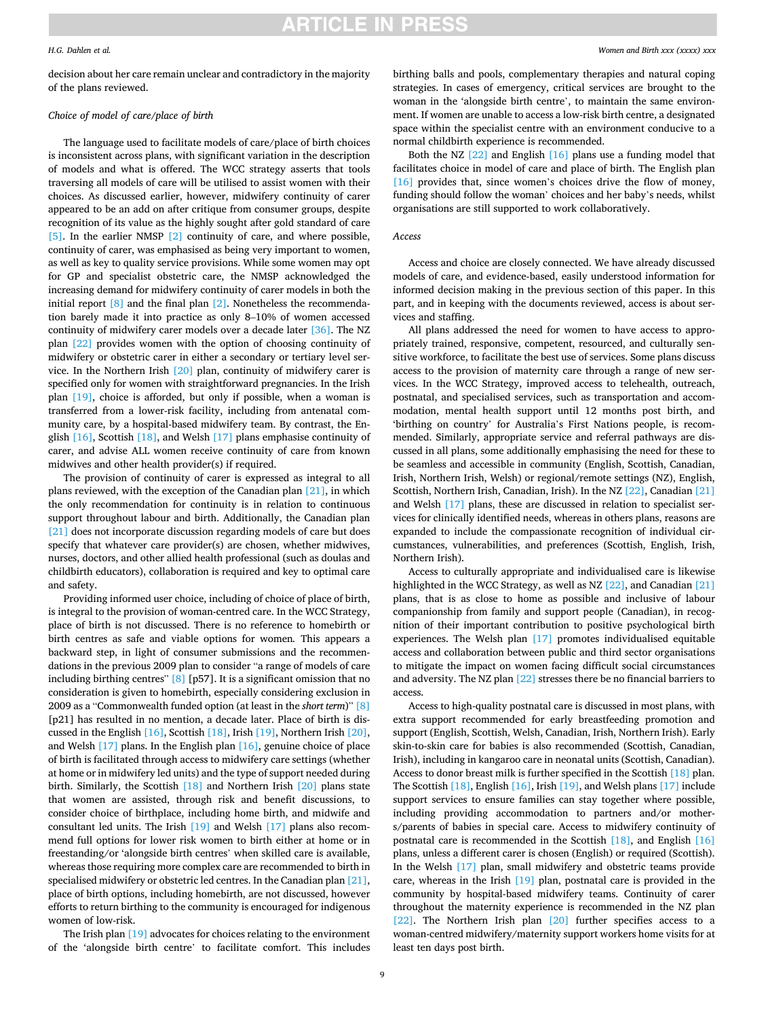## *H.G. Dahlen et al.*

decision about her care remain unclear and contradictory in the majority of the plans reviewed.

## *Choice of model of care/place of birth*

The language used to facilitate models of care/place of birth choices is inconsistent across plans, with significant variation in the description of models and what is offered. The WCC strategy asserts that tools traversing all models of care will be utilised to assist women with their choices. As discussed earlier, however, midwifery continuity of carer appeared to be an add on after critique from consumer groups, despite recognition of its value as the highly sought after gold standard of care [\[5\].](#page-11-0) In the earlier NMSP [\[2\]](#page-11-0) continuity of care, and where possible, continuity of carer, was emphasised as being very important to women, as well as key to quality service provisions. While some women may opt for GP and specialist obstetric care, the NMSP acknowledged the increasing demand for midwifery continuity of carer models in both the initial report [\[8\]](#page-11-0) and the final plan [\[2\].](#page-11-0) Nonetheless the recommendation barely made it into practice as only 8–10% of women accessed continuity of midwifery carer models over a decade later [\[36\].](#page-11-0) The NZ plan [\[22\]](#page-11-0) provides women with the option of choosing continuity of midwifery or obstetric carer in either a secondary or tertiary level service. In the Northern Irish [\[20\]](#page-11-0) plan, continuity of midwifery carer is specified only for women with straightforward pregnancies. In the Irish plan [\[19\]](#page-11-0), choice is afforded, but only if possible, when a woman is transferred from a lower-risk facility, including from antenatal community care, by a hospital-based midwifery team. By contrast, the English [\[16\]](#page-11-0), Scottish [\[18\],](#page-11-0) and Welsh [\[17\]](#page-11-0) plans emphasise continuity of carer, and advise ALL women receive continuity of care from known midwives and other health provider(s) if required.

The provision of continuity of carer is expressed as integral to all plans reviewed, with the exception of the Canadian plan [\[21\],](#page-11-0) in which the only recommendation for continuity is in relation to continuous support throughout labour and birth. Additionally, the Canadian plan [\[21\]](#page-11-0) does not incorporate discussion regarding models of care but does specify that whatever care provider(s) are chosen, whether midwives, nurses, doctors, and other allied health professional (such as doulas and childbirth educators), collaboration is required and key to optimal care and safety.

Providing informed user choice, including of choice of place of birth, is integral to the provision of woman-centred care. In the WCC Strategy, place of birth is not discussed. There is no reference to homebirth or birth centres as safe and viable options for women*.* This appears a backward step, in light of consumer submissions and the recommendations in the previous 2009 plan to consider "a range of models of care including birthing centres"  $[8]$  [p57]. It is a significant omission that no consideration is given to homebirth, especially considering exclusion in 2009 as a "Commonwealth funded option (at least in the *short term*)" [\[8\]](#page-11-0)  [p21] has resulted in no mention, a decade later. Place of birth is discussed in the English [\[16\],](#page-11-0) Scottish [\[18\]](#page-11-0), Irish [\[19\],](#page-11-0) Northern Irish [\[20\]](#page-11-0), and Welsh [\[17\]](#page-11-0) plans. In the English plan [\[16\],](#page-11-0) genuine choice of place of birth is facilitated through access to midwifery care settings (whether at home or in midwifery led units) and the type of support needed during birth. Similarly, the Scottish [\[18\]](#page-11-0) and Northern Irish [\[20\]](#page-11-0) plans state that women are assisted, through risk and benefit discussions, to consider choice of birthplace, including home birth, and midwife and consultant led units. The Irish [\[19\]](#page-11-0) and Welsh [\[17\]](#page-11-0) plans also recommend full options for lower risk women to birth either at home or in freestanding/or 'alongside birth centres' when skilled care is available, whereas those requiring more complex care are recommended to birth in specialised midwifery or obstetric led centres. In the Canadian plan [\[21\]](#page-11-0), place of birth options, including homebirth, are not discussed, however efforts to return birthing to the community is encouraged for indigenous women of low-risk.

The Irish plan [\[19\]](#page-11-0) advocates for choices relating to the environment of the 'alongside birth centre' to facilitate comfort. This includes

birthing balls and pools, complementary therapies and natural coping strategies. In cases of emergency, critical services are brought to the woman in the 'alongside birth centre', to maintain the same environment. If women are unable to access a low-risk birth centre, a designated space within the specialist centre with an environment conducive to a normal childbirth experience is recommended.

Both the NZ [\[22\]](#page-11-0) and English [\[16\]](#page-11-0) plans use a funding model that facilitates choice in model of care and place of birth. The English plan [\[16\]](#page-11-0) provides that, since women's choices drive the flow of money, funding should follow the woman' choices and her baby's needs, whilst organisations are still supported to work collaboratively.

## *Access*

Access and choice are closely connected. We have already discussed models of care, and evidence-based, easily understood information for informed decision making in the previous section of this paper. In this part, and in keeping with the documents reviewed, access is about services and staffing.

All plans addressed the need for women to have access to appropriately trained, responsive, competent, resourced, and culturally sensitive workforce, to facilitate the best use of services. Some plans discuss access to the provision of maternity care through a range of new services. In the WCC Strategy, improved access to telehealth, outreach, postnatal, and specialised services, such as transportation and accommodation, mental health support until 12 months post birth, and 'birthing on country' for Australia's First Nations people, is recommended. Similarly, appropriate service and referral pathways are discussed in all plans, some additionally emphasising the need for these to be seamless and accessible in community (English, Scottish, Canadian, Irish, Northern Irish, Welsh) or regional/remote settings (NZ), English, Scottish, Northern Irish, Canadian, Irish). In the NZ [\[22\],](#page-11-0) Canadian [\[21\]](#page-11-0)  and Welsh [\[17\]](#page-11-0) plans, these are discussed in relation to specialist services for clinically identified needs, whereas in others plans, reasons are expanded to include the compassionate recognition of individual circumstances, vulnerabilities, and preferences (Scottish, English, Irish, Northern Irish).

Access to culturally appropriate and individualised care is likewise highlighted in the WCC Strategy, as well as NZ [\[22\]](#page-11-0), and Canadian [21] plans, that is as close to home as possible and inclusive of labour companionship from family and support people (Canadian), in recognition of their important contribution to positive psychological birth experiences. The Welsh plan [\[17\]](#page-11-0) promotes individualised equitable access and collaboration between public and third sector organisations to mitigate the impact on women facing difficult social circumstances and adversity. The NZ plan [\[22\]](#page-11-0) stresses there be no financial barriers to access.

Access to high-quality postnatal care is discussed in most plans, with extra support recommended for early breastfeeding promotion and support (English, Scottish, Welsh, Canadian, Irish, Northern Irish). Early skin-to-skin care for babies is also recommended (Scottish, Canadian, Irish), including in kangaroo care in neonatal units (Scottish, Canadian). Access to donor breast milk is further specified in the Scottish [\[18\]](#page-11-0) plan. The Scottish [\[18\],](#page-11-0) English [\[16\]](#page-11-0), Irish [\[19\],](#page-11-0) and Welsh plans [\[17\]](#page-11-0) include support services to ensure families can stay together where possible, including providing accommodation to partners and/or mothers/parents of babies in special care. Access to midwifery continuity of postnatal care is recommended in the Scottish [\[18\],](#page-11-0) and English [\[16\]](#page-11-0)  plans, unless a different carer is chosen (English) or required (Scottish). In the Welsh [\[17\]](#page-11-0) plan, small midwifery and obstetric teams provide care, whereas in the Irish [\[19\]](#page-11-0) plan, postnatal care is provided in the community by hospital-based midwifery teams. Continuity of carer throughout the maternity experience is recommended in the NZ plan [\[22\]](#page-11-0). The Northern Irish plan [\[20\]](#page-11-0) further specifies access to a woman-centred midwifery/maternity support workers home visits for at least ten days post birth.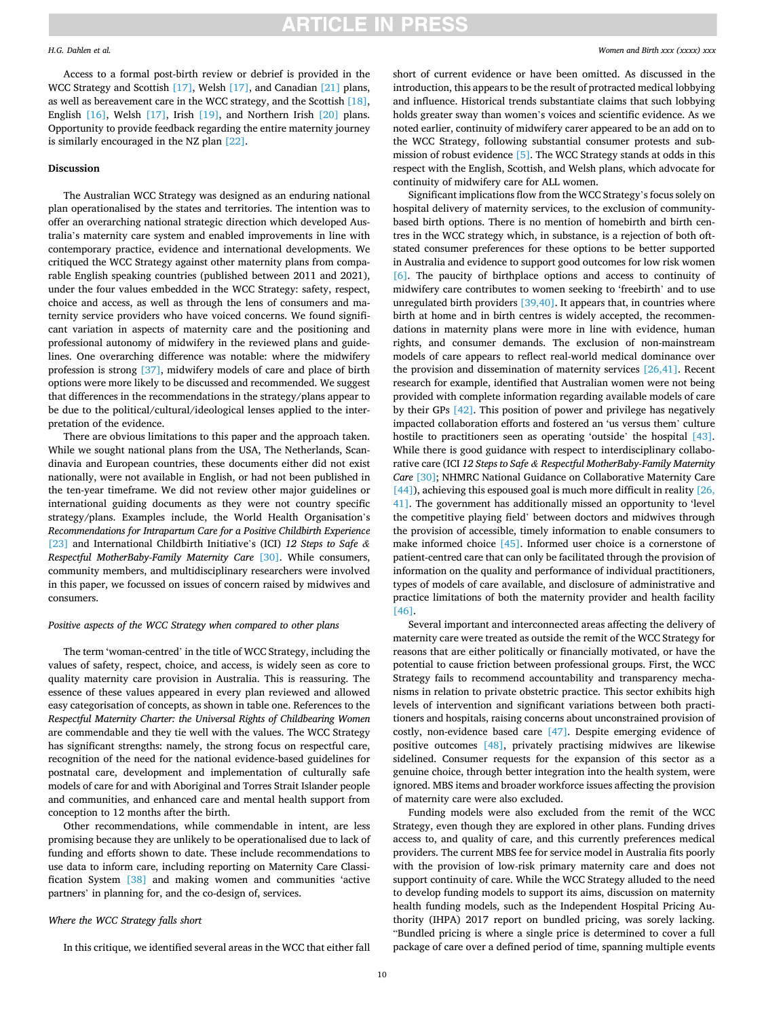Access to a formal post-birth review or debrief is provided in the WCC Strategy and Scottish [\[17\]](#page-11-0), Welsh [\[17\]](#page-11-0), and Canadian [\[21\]](#page-11-0) plans, as well as bereavement care in the WCC strategy, and the Scottish [\[18\]](#page-11-0), English [\[16\],](#page-11-0) Welsh [\[17\],](#page-11-0) Irish [\[19\],](#page-11-0) and Northern Irish [\[20\]](#page-11-0) plans. Opportunity to provide feedback regarding the entire maternity journey is similarly encouraged in the NZ plan [\[22\]](#page-11-0).

## **Discussion**

The Australian WCC Strategy was designed as an enduring national plan operationalised by the states and territories. The intention was to offer an overarching national strategic direction which developed Australia's maternity care system and enabled improvements in line with contemporary practice, evidence and international developments. We critiqued the WCC Strategy against other maternity plans from comparable English speaking countries (published between 2011 and 2021), under the four values embedded in the WCC Strategy: safety, respect, choice and access, as well as through the lens of consumers and maternity service providers who have voiced concerns. We found significant variation in aspects of maternity care and the positioning and professional autonomy of midwifery in the reviewed plans and guidelines. One overarching difference was notable: where the midwifery profession is strong [\[37\]](#page-11-0), midwifery models of care and place of birth options were more likely to be discussed and recommended. We suggest that differences in the recommendations in the strategy/plans appear to be due to the political/cultural/ideological lenses applied to the interpretation of the evidence.

There are obvious limitations to this paper and the approach taken. While we sought national plans from the USA, The Netherlands, Scandinavia and European countries, these documents either did not exist nationally, were not available in English, or had not been published in the ten-year timeframe. We did not review other major guidelines or international guiding documents as they were not country specific strategy/plans. Examples include, the World Health Organisation's *Recommendations for Intrapartum Care for a Positive Childbirth Experience*  [\[23\]](#page-11-0) and International Childbirth Initiative's (ICI) *12 Steps to Safe & Respectful MotherBaby-Family Maternity Care* [\[30\].](#page-11-0) While consumers, community members, and multidisciplinary researchers were involved in this paper, we focussed on issues of concern raised by midwives and consumers.

## *Positive aspects of the WCC Strategy when compared to other plans*

The term 'woman-centred' in the title of WCC Strategy, including the values of safety, respect, choice, and access, is widely seen as core to quality maternity care provision in Australia. This is reassuring. The essence of these values appeared in every plan reviewed and allowed easy categorisation of concepts, as shown in table one. References to the *Respectful Maternity Charter: the Universal Rights of Childbearing Women*  are commendable and they tie well with the values. The WCC Strategy has significant strengths: namely, the strong focus on respectful care, recognition of the need for the national evidence-based guidelines for postnatal care, development and implementation of culturally safe models of care for and with Aboriginal and Torres Strait Islander people and communities, and enhanced care and mental health support from conception to 12 months after the birth.

Other recommendations, while commendable in intent, are less promising because they are unlikely to be operationalised due to lack of funding and efforts shown to date. These include recommendations to use data to inform care, including reporting on Maternity Care Classification System [\[38\]](#page-11-0) and making women and communities 'active partners' in planning for, and the co-design of, services.

## *Where the WCC Strategy falls short*

In this critique, we identified several areas in the WCC that either fall

short of current evidence or have been omitted. As discussed in the introduction, this appears to be the result of protracted medical lobbying and influence. Historical trends substantiate claims that such lobbying holds greater sway than women's voices and scientific evidence. As we noted earlier, continuity of midwifery carer appeared to be an add on to the WCC Strategy, following substantial consumer protests and submission of robust evidence [\[5\]](#page-11-0). The WCC Strategy stands at odds in this respect with the English, Scottish, and Welsh plans, which advocate for continuity of midwifery care for ALL women.

Significant implications flow from the WCC Strategy's focus solely on hospital delivery of maternity services, to the exclusion of communitybased birth options. There is no mention of homebirth and birth centres in the WCC strategy which, in substance, is a rejection of both oftstated consumer preferences for these options to be better supported in Australia and evidence to support good outcomes for low risk women [\[6\].](#page-11-0) The paucity of birthplace options and access to continuity of midwifery care contributes to women seeking to 'freebirth' and to use unregulated birth providers [\[39,40\].](#page-11-0) It appears that, in countries where birth at home and in birth centres is widely accepted, the recommendations in maternity plans were more in line with evidence, human rights, and consumer demands. The exclusion of non-mainstream models of care appears to reflect real-world medical dominance over the provision and dissemination of maternity services [\[26,41\].](#page-11-0) Recent research for example, identified that Australian women were not being provided with complete information regarding available models of care by their GPs [\[42\]](#page-11-0). This position of power and privilege has negatively impacted collaboration efforts and fostered an 'us versus them' culture hostile to practitioners seen as operating 'outside' the hospital [\[43\]](#page-11-0). While there is good guidance with respect to interdisciplinary collaborative care (ICI *12 Steps to Safe & Respectful MotherBaby-Family Maternity Care* [\[30\]](#page-11-0); NHMRC National Guidance on Collaborative Maternity Care [\[44\]](#page-12-0)), achieving this espoused goal is much more difficult in reality [26, [41\].](#page-11-0) The government has additionally missed an opportunity to 'level the competitive playing field' between doctors and midwives through the provision of accessible, timely information to enable consumers to make informed choice [\[45\].](#page-12-0) Informed user choice is a cornerstone of patient-centred care that can only be facilitated through the provision of information on the quality and performance of individual practitioners, types of models of care available, and disclosure of administrative and practice limitations of both the maternity provider and health facility [\[46\]](#page-12-0).

Several important and interconnected areas affecting the delivery of maternity care were treated as outside the remit of the WCC Strategy for reasons that are either politically or financially motivated, or have the potential to cause friction between professional groups. First, the WCC Strategy fails to recommend accountability and transparency mechanisms in relation to private obstetric practice. This sector exhibits high levels of intervention and significant variations between both practitioners and hospitals, raising concerns about unconstrained provision of costly, non-evidence based care [\[47\].](#page-12-0) Despite emerging evidence of positive outcomes [\[48\],](#page-12-0) privately practising midwives are likewise sidelined. Consumer requests for the expansion of this sector as a genuine choice, through better integration into the health system, were ignored. MBS items and broader workforce issues affecting the provision of maternity care were also excluded.

Funding models were also excluded from the remit of the WCC Strategy, even though they are explored in other plans. Funding drives access to, and quality of care, and this currently preferences medical providers. The current MBS fee for service model in Australia fits poorly with the provision of low-risk primary maternity care and does not support continuity of care. While the WCC Strategy alluded to the need to develop funding models to support its aims, discussion on maternity health funding models, such as the Independent Hospital Pricing Authority (IHPA) 2017 report on bundled pricing, was sorely lacking. "Bundled pricing is where a single price is determined to cover a full package of care over a defined period of time, spanning multiple events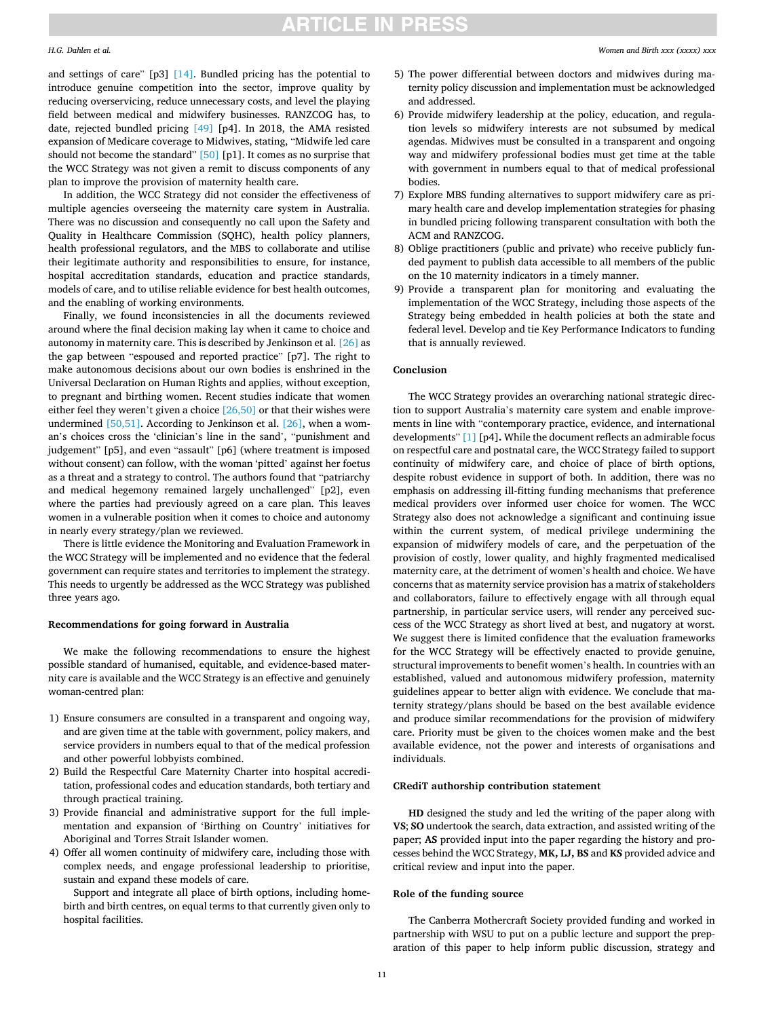### *H.G. Dahlen et al.*

and settings of care" [p3] [\[14\].](#page-11-0) Bundled pricing has the potential to introduce genuine competition into the sector, improve quality by reducing overservicing, reduce unnecessary costs, and level the playing field between medical and midwifery businesses. RANZCOG has, to date, rejected bundled pricing [\[49\]](#page-12-0) [p4]. In 2018, the AMA resisted expansion of Medicare coverage to Midwives, stating, "Midwife led care should not become the standard" [\[50\]](#page-12-0) [p1]. It comes as no surprise that the WCC Strategy was not given a remit to discuss components of any plan to improve the provision of maternity health care.

In addition, the WCC Strategy did not consider the effectiveness of multiple agencies overseeing the maternity care system in Australia. There was no discussion and consequently no call upon the Safety and Quality in Healthcare Commission (SQHC), health policy planners, health professional regulators, and the MBS to collaborate and utilise their legitimate authority and responsibilities to ensure, for instance, hospital accreditation standards, education and practice standards, models of care, and to utilise reliable evidence for best health outcomes, and the enabling of working environments.

Finally, we found inconsistencies in all the documents reviewed around where the final decision making lay when it came to choice and autonomy in maternity care. This is described by Jenkinson et al. [\[26\]](#page-11-0) as the gap between "espoused and reported practice" [p7]. The right to make autonomous decisions about our own bodies is enshrined in the Universal Declaration on Human Rights and applies, without exception, to pregnant and birthing women. Recent studies indicate that women either feel they weren't given a choice [\[26,50\]](#page-11-0) or that their wishes were undermined [\[50,51\].](#page-12-0) According to Jenkinson et al. [\[26\],](#page-11-0) when a woman's choices cross the 'clinician's line in the sand', "punishment and judgement" [p5], and even "assault" [p6] (where treatment is imposed without consent) can follow, with the woman 'pitted' against her foetus as a threat and a strategy to control. The authors found that "patriarchy and medical hegemony remained largely unchallenged" [p2], even where the parties had previously agreed on a care plan. This leaves women in a vulnerable position when it comes to choice and autonomy in nearly every strategy/plan we reviewed.

There is little evidence the Monitoring and Evaluation Framework in the WCC Strategy will be implemented and no evidence that the federal government can require states and territories to implement the strategy. This needs to urgently be addressed as the WCC Strategy was published three years ago.

## **Recommendations for going forward in Australia**

We make the following recommendations to ensure the highest possible standard of humanised, equitable, and evidence-based maternity care is available and the WCC Strategy is an effective and genuinely woman-centred plan:

- 1) Ensure consumers are consulted in a transparent and ongoing way, and are given time at the table with government, policy makers, and service providers in numbers equal to that of the medical profession and other powerful lobbyists combined.
- 2) Build the Respectful Care Maternity Charter into hospital accreditation, professional codes and education standards, both tertiary and through practical training.
- 3) Provide financial and administrative support for the full implementation and expansion of 'Birthing on Country' initiatives for Aboriginal and Torres Strait Islander women.
- 4) Offer all women continuity of midwifery care, including those with complex needs, and engage professional leadership to prioritise, sustain and expand these models of care.

Support and integrate all place of birth options, including homebirth and birth centres, on equal terms to that currently given only to hospital facilities.

- 5) The power differential between doctors and midwives during maternity policy discussion and implementation must be acknowledged and addressed.
- 6) Provide midwifery leadership at the policy, education, and regulation levels so midwifery interests are not subsumed by medical agendas. Midwives must be consulted in a transparent and ongoing way and midwifery professional bodies must get time at the table with government in numbers equal to that of medical professional bodies.
- 7) Explore MBS funding alternatives to support midwifery care as primary health care and develop implementation strategies for phasing in bundled pricing following transparent consultation with both the ACM and RANZCOG.
- 8) Oblige practitioners (public and private) who receive publicly funded payment to publish data accessible to all members of the public on the 10 maternity indicators in a timely manner.
- 9) Provide a transparent plan for monitoring and evaluating the implementation of the WCC Strategy, including those aspects of the Strategy being embedded in health policies at both the state and federal level. Develop and tie Key Performance Indicators to funding that is annually reviewed.

## **Conclusion**

The WCC Strategy provides an overarching national strategic direction to support Australia's maternity care system and enable improvements in line with "contemporary practice, evidence, and international developments" [\[1\]](#page-11-0) [p4]**.** While the document reflects an admirable focus on respectful care and postnatal care, the WCC Strategy failed to support continuity of midwifery care, and choice of place of birth options, despite robust evidence in support of both. In addition, there was no emphasis on addressing ill-fitting funding mechanisms that preference medical providers over informed user choice for women. The WCC Strategy also does not acknowledge a significant and continuing issue within the current system, of medical privilege undermining the expansion of midwifery models of care, and the perpetuation of the provision of costly, lower quality, and highly fragmented medicalised maternity care, at the detriment of women's health and choice. We have concerns that as maternity service provision has a matrix of stakeholders and collaborators, failure to effectively engage with all through equal partnership, in particular service users, will render any perceived success of the WCC Strategy as short lived at best, and nugatory at worst. We suggest there is limited confidence that the evaluation frameworks for the WCC Strategy will be effectively enacted to provide genuine, structural improvements to benefit women's health. In countries with an established, valued and autonomous midwifery profession, maternity guidelines appear to better align with evidence. We conclude that maternity strategy/plans should be based on the best available evidence and produce similar recommendations for the provision of midwifery care. Priority must be given to the choices women make and the best available evidence, not the power and interests of organisations and individuals.

### **CRediT authorship contribution statement**

**HD** designed the study and led the writing of the paper along with **VS**; **SO** undertook the search, data extraction, and assisted writing of the paper; **AS** provided input into the paper regarding the history and processes behind the WCC Strategy, **MK, LJ, BS** and **KS** provided advice and critical review and input into the paper.

## **Role of the funding source**

The Canberra Mothercraft Society provided funding and worked in partnership with WSU to put on a public lecture and support the preparation of this paper to help inform public discussion, strategy and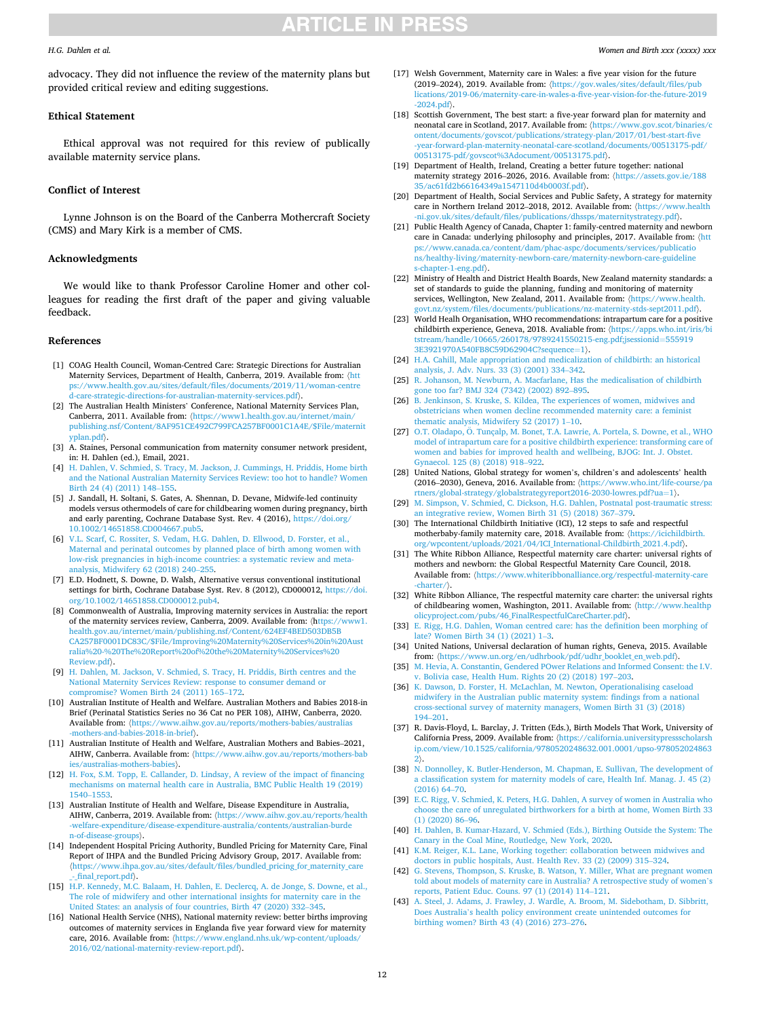### *Women and Birth xxx (xxxx) xxx*

## <span id="page-11-0"></span>*H.G. Dahlen et al.*

advocacy. They did not influence the review of the maternity plans but provided critical review and editing suggestions.

## **Ethical Statement**

Ethical approval was not required for this review of publically available maternity service plans.

## **Conflict of Interest**

Lynne Johnson is on the Board of the Canberra Mothercraft Society (CMS) and Mary Kirk is a member of CMS.

## **Acknowledgments**

We would like to thank Professor Caroline Homer and other colleagues for reading the first draft of the paper and giving valuable feedback.

### **References**

- [1] COAG Health Council, Woman-Centred Care: Strategic Directions for Australian Maternity Services, Department of Health, Canberra, 2019. Available from: 〈[htt](https://www.health.gov.au/sites/default/files/documents/2019/11/woman-centred-care-strategic-directions-for-australian-maternity-services.pdf)  [ps://www.health.gov.au/sites/default/files/documents/2019/11/woman-centre](https://www.health.gov.au/sites/default/files/documents/2019/11/woman-centred-care-strategic-directions-for-australian-maternity-services.pdf) [d-care-strategic-directions-for-australian-maternity-services.pdf](https://www.health.gov.au/sites/default/files/documents/2019/11/woman-centred-care-strategic-directions-for-australian-maternity-services.pdf)〉.
- [2] The Australian Health Ministers' Conference, National Maternity Services Plan, Canberra, 2011. Available from: 〈[https://www1.health.gov.au/internet/main/](https://www1.health.gov.au/internet/main/publishing.nsf/Content/8AF951CE492C799FCA257BF0001C1A4E/$File/maternityplan.pdf) [publishing.nsf/Content/8AF951CE492C799FCA257BF0001C1A4E/\\$File/maternit](https://www1.health.gov.au/internet/main/publishing.nsf/Content/8AF951CE492C799FCA257BF0001C1A4E/$File/maternityplan.pdf) [yplan.pdf](https://www1.health.gov.au/internet/main/publishing.nsf/Content/8AF951CE492C799FCA257BF0001C1A4E/$File/maternityplan.pdf)〉.
- [3] A. Staines, Personal communication from maternity consumer network president, in: H. Dahlen (ed.), Email, 2021.
- [4] [H. Dahlen, V. Schmied, S. Tracy, M. Jackson, J. Cummings, H. Priddis, Home birth](http://refhub.elsevier.com/S1871-5192(22)00052-X/sbref1)  [and the National Australian Maternity Services Review: too hot to handle? Women](http://refhub.elsevier.com/S1871-5192(22)00052-X/sbref1)  [Birth 24 \(4\) \(2011\) 148](http://refhub.elsevier.com/S1871-5192(22)00052-X/sbref1)–155.
- [5] J. Sandall, H. Soltani, S. Gates, A. Shennan, D. Devane, Midwife-led continuity models versus othermodels of care for childbearing women during pregnancy, birth and early parenting, Cochrane Database Syst. Rev. 4 (2016), [https://doi.org/](https://doi.org/10.1002/14651858.CD004667.pub5) [10.1002/14651858.CD004667.pub5.](https://doi.org/10.1002/14651858.CD004667.pub5)
- [6] [V.L. Scarf, C. Rossiter, S. Vedam, H.G. Dahlen, D. Ellwood, D. Forster, et al.,](http://refhub.elsevier.com/S1871-5192(22)00052-X/sbref3) [Maternal and perinatal outcomes by planned place of birth among women with](http://refhub.elsevier.com/S1871-5192(22)00052-X/sbref3) [low-risk pregnancies in high-income countries: a systematic review and meta](http://refhub.elsevier.com/S1871-5192(22)00052-X/sbref3)[analysis, Midwifery 62 \(2018\) 240](http://refhub.elsevier.com/S1871-5192(22)00052-X/sbref3)–255.
- [7] E.D. Hodnett, S. Downe, D. Walsh, Alternative versus conventional institutional settings for birth, Cochrane Database Syst. Rev. 8 (2012), CD000012, [https://doi.](https://doi.org/10.1002/14651858.CD000012.pub4)  [org/10.1002/14651858.CD000012.pub4](https://doi.org/10.1002/14651858.CD000012.pub4).
- [8] Commonwealth of Australia, Improving maternity services in Australia: the report of the maternity services review, Canberra, 2009. Available from: 〈h[ttps://www1.](http://ttps://www1.health.gov.au/internet/main/publishing.nsf/Content/624EF4BED503DB5BCA257BF0001DC83C/$File/Improving%20Maternity%20Services%20in%20Australia%20-%20The%20Report%20of%20the%20Maternity%20Services%20Review.pdf)  [health.gov.au/internet/main/publishing.nsf/Content/624EF4BED503DB5B](http://ttps://www1.health.gov.au/internet/main/publishing.nsf/Content/624EF4BED503DB5BCA257BF0001DC83C/$File/Improving%20Maternity%20Services%20in%20Australia%20-%20The%20Report%20of%20the%20Maternity%20Services%20Review.pdf) [CA257BF0001DC83C/\\$File/Improving%20Maternity%20Services%20in%20Aust](http://ttps://www1.health.gov.au/internet/main/publishing.nsf/Content/624EF4BED503DB5BCA257BF0001DC83C/$File/Improving%20Maternity%20Services%20in%20Australia%20-%20The%20Report%20of%20the%20Maternity%20Services%20Review.pdf) [ralia%20-%20The%20Report%20of%20the%20Maternity%20Services%20](http://ttps://www1.health.gov.au/internet/main/publishing.nsf/Content/624EF4BED503DB5BCA257BF0001DC83C/$File/Improving%20Maternity%20Services%20in%20Australia%20-%20The%20Report%20of%20the%20Maternity%20Services%20Review.pdf)  [Review.pdf](http://ttps://www1.health.gov.au/internet/main/publishing.nsf/Content/624EF4BED503DB5BCA257BF0001DC83C/$File/Improving%20Maternity%20Services%20in%20Australia%20-%20The%20Report%20of%20the%20Maternity%20Services%20Review.pdf)〉.
- [9] [H. Dahlen, M. Jackson, V. Schmied, S. Tracy, H. Priddis, Birth centres and the](http://refhub.elsevier.com/S1871-5192(22)00052-X/sbref5)  [National Maternity Services Review: response to consumer demand or](http://refhub.elsevier.com/S1871-5192(22)00052-X/sbref5) [compromise? Women Birth 24 \(2011\) 165](http://refhub.elsevier.com/S1871-5192(22)00052-X/sbref5)–172.
- [10] Australian Institute of Health and Welfare. Australian Mothers and Babies 2018-in Brief (Perinatal Statistics Series no 36 Cat no PER 108), AIHW, Canberra, 2020. Available from: 〈[https://www.aihw.gov.au/reports/mothers-babies/australias](https://www.aihw.gov.au/reports/mothers-babies/australias-mothers-and-babies-2018-in-brief) [-mothers-and-babies-2018-in-brief](https://www.aihw.gov.au/reports/mothers-babies/australias-mothers-and-babies-2018-in-brief)〉.
- [11] Australian Institute of Health and Welfare, Australian Mothers and Babies–2021, AIHW, Canberra. Available from: 〈[https://www.aihw.gov.au/reports/mothers-bab](https://www.aihw.gov.au/reports/mothers-babies/australias-mothers-babies)  [ies/australias-mothers-babies](https://www.aihw.gov.au/reports/mothers-babies/australias-mothers-babies)〉.
- [12] [H. Fox, S.M. Topp, E. Callander, D. Lindsay, A review of the impact of financing](http://refhub.elsevier.com/S1871-5192(22)00052-X/sbref6) [mechanisms on maternal health care in Australia, BMC Public Health 19 \(2019\)](http://refhub.elsevier.com/S1871-5192(22)00052-X/sbref6)  [1540](http://refhub.elsevier.com/S1871-5192(22)00052-X/sbref6)–1553.
- [13] Australian Institute of Health and Welfare, Disease Expenditure in Australia, AIHW, Canberra, 2019. Available from: 〈[https://www.aihw.gov.au/reports/health](https://www.aihw.gov.au/reports/health-welfare-expenditure/disease-expenditure-australia/contents/australian-burden-of-disease-groups)  [-welfare-expenditure/disease-expenditure-australia/contents/australian-burde](https://www.aihw.gov.au/reports/health-welfare-expenditure/disease-expenditure-australia/contents/australian-burden-of-disease-groups) [n-of-disease-groups](https://www.aihw.gov.au/reports/health-welfare-expenditure/disease-expenditure-australia/contents/australian-burden-of-disease-groups)〉.
- [14] Independent Hospital Pricing Authority, Bundled Pricing for Maternity Care, Final Report of IHPA and the Bundled Pricing Advisory Group, 2017. Available from: 〈[https://www.ihpa.gov.au/sites/default/files/bundled\\_pricing\\_for\\_maternity\\_care](https://www.ihpa.gov.au/sites/default/files/bundled_pricing_for_maternity_care_-_final_report.pdf) final report.pdf)
- [15] [H.P. Kennedy, M.C. Balaam, H. Dahlen, E. Declercq, A. de Jonge, S. Downe, et al.,](http://refhub.elsevier.com/S1871-5192(22)00052-X/sbref7)  [The role of midwifery and other international insights for maternity care in the](http://refhub.elsevier.com/S1871-5192(22)00052-X/sbref7) [United States: an analysis of four countries, Birth 47 \(2020\) 332](http://refhub.elsevier.com/S1871-5192(22)00052-X/sbref7)–345.
- [16] National Health Service (NHS), National maternity review: better births improving outcomes of maternity services in Englanda five year forward view for maternity care, 2016. Available from: 〈[https://www.england.nhs.uk/wp-content/uploads/](https://www.england.nhs.uk/wp-content/uploads/2016/02/national-maternity-review-report.pdf) [2016/02/national-maternity-review-report.pdf](https://www.england.nhs.uk/wp-content/uploads/2016/02/national-maternity-review-report.pdf)〉.
- [17] Welsh Government, Maternity care in Wales: a five year vision for the future (2019–2024), 2019. Available from: 〈[https://gov.wales/sites/default/files/pub](https://gov.wales/sites/default/files/publications/2019-06/maternity-care-in-wales-a-five-year-vision-for-the-future-2019-2024.pdf) [lications/2019-06/maternity-care-in-wales-a-five-year-vision-for-the-future-2019](https://gov.wales/sites/default/files/publications/2019-06/maternity-care-in-wales-a-five-year-vision-for-the-future-2019-2024.pdf) [-2024.pdf](https://gov.wales/sites/default/files/publications/2019-06/maternity-care-in-wales-a-five-year-vision-for-the-future-2019-2024.pdf)〉.
- [18] Scottish Government, The best start: a five-year forward plan for maternity and neonatal care in Scotland, 2017. Available from: 〈[https://www.gov.scot/binaries/c](https://www.gov.scot/binaries/content/documents/govscot/publications/strategy-plan/2017/01/best-start-five-year-forward-plan-maternity-neonatal-care-scotland/documents/00513175-pdf/00513175-pdf/govscot%3Adocument/00513175.pdf)  [ontent/documents/govscot/publications/strategy-plan/2017/01/best-start-five](https://www.gov.scot/binaries/content/documents/govscot/publications/strategy-plan/2017/01/best-start-five-year-forward-plan-maternity-neonatal-care-scotland/documents/00513175-pdf/00513175-pdf/govscot%3Adocument/00513175.pdf) [-year-forward-plan-maternity-neonatal-care-scotland/documents/00513175-pdf/](https://www.gov.scot/binaries/content/documents/govscot/publications/strategy-plan/2017/01/best-start-five-year-forward-plan-maternity-neonatal-care-scotland/documents/00513175-pdf/00513175-pdf/govscot%3Adocument/00513175.pdf)  [00513175-pdf/govscot%3Adocument/00513175.pdf](https://www.gov.scot/binaries/content/documents/govscot/publications/strategy-plan/2017/01/best-start-five-year-forward-plan-maternity-neonatal-care-scotland/documents/00513175-pdf/00513175-pdf/govscot%3Adocument/00513175.pdf)〉.
- [19] Department of Health, Ireland, Creating a better future together: national maternity strategy 2016–2026, 2016. Available from: 〈[https://assets.gov.ie/188](https://assets.gov.ie/18835/ac61fd2b66164349a1547110d4b0003f.pdf)  [35/ac61fd2b66164349a1547110d4b0003f.pdf](https://assets.gov.ie/18835/ac61fd2b66164349a1547110d4b0003f.pdf)〉.
- [20] Department of Health, Social Services and Public Safety, A strategy for maternity care in Northern Ireland 2012–2018, 2012. Available from: 〈[https://www.health](https://www.health-ni.gov.uk/sites/default/files/publications/dhssps/maternitystrategy.pdf)  i.gov.uk/sites/default/files/publications/dhssps/maternitystrategy.pdf)
- [21] Public Health Agency of Canada, Chapter 1: family-centred maternity and newborn care in Canada: underlying philosophy and principles, 2017. Available from: (htt [ps://www.canada.ca/content/dam/phac-aspc/documents/services/publicatio](https://www.canada.ca/content/dam/phac-aspc/documents/services/publications/healthy-living/maternity-newborn-care/maternity-newborn-care-guidelines-chapter-1-eng.pdf)  [ns/healthy-living/maternity-newborn-care/maternity-newborn-care-guideline](https://www.canada.ca/content/dam/phac-aspc/documents/services/publications/healthy-living/maternity-newborn-care/maternity-newborn-care-guidelines-chapter-1-eng.pdf)  [s-chapter-1-eng.pdf](https://www.canada.ca/content/dam/phac-aspc/documents/services/publications/healthy-living/maternity-newborn-care/maternity-newborn-care-guidelines-chapter-1-eng.pdf)〉.
- [22] Ministry of Health and District Health Boards, New Zealand maternity standards: a set of standards to guide the planning, funding and monitoring of maternity services, Wellington, New Zealand, 2011. Available from:  $\langle$ [https://www.health.](https://www.health.govt.nz/system/files/documents/publications/nz-maternity-stds-sept2011.pdf) [govt.nz/system/files/documents/publications/nz-maternity-stds-sept2011.pdf](https://www.health.govt.nz/system/files/documents/publications/nz-maternity-stds-sept2011.pdf)〉.
- [23] World Healh Organisation, WHO recommendations: intrapartum care for a positive childbirth experience, Geneva, 2018. Avaliable from: 〈[https://apps.who.int/iris/bi](https://apps.who.int/iris/bitstream/handle/10665/260178/9789241550215-eng.pdf;jsessionid=5559193E3921970A540FB8C59D62904C?sequence=1)  [tstream/handle/10665/260178/9789241550215-eng.pdf;jsessionid](https://apps.who.int/iris/bitstream/handle/10665/260178/9789241550215-eng.pdf;jsessionid=5559193E3921970A540FB8C59D62904C?sequence=1)=555919 [3E3921970A540FB8C59D62904C?sequence](https://apps.who.int/iris/bitstream/handle/10665/260178/9789241550215-eng.pdf;jsessionid=5559193E3921970A540FB8C59D62904C?sequence=1)=1〉.
- [24] [H.A. Cahill, Male appropriation and medicalization of childbirth: an historical](http://refhub.elsevier.com/S1871-5192(22)00052-X/sbref8) [analysis, J. Adv. Nurs. 33 \(3\) \(2001\) 334](http://refhub.elsevier.com/S1871-5192(22)00052-X/sbref8)–342.
- [25] [R. Johanson, M. Newburn, A. Macfarlane, Has the medicalisation of childbirth](http://refhub.elsevier.com/S1871-5192(22)00052-X/sbref9) [gone too far? BMJ 324 \(7342\) \(2002\) 892](http://refhub.elsevier.com/S1871-5192(22)00052-X/sbref9)–895.
- [26] [B. Jenkinson, S. Kruske, S. Kildea, The experiences of women, midwives and](http://refhub.elsevier.com/S1871-5192(22)00052-X/sbref10) [obstetricians when women decline recommended maternity care: a feminist](http://refhub.elsevier.com/S1871-5192(22)00052-X/sbref10) [thematic analysis, Midwifery 52 \(2017\) 1](http://refhub.elsevier.com/S1871-5192(22)00052-X/sbref10)–10.
- [27] O.T. Oladapo, Ö. Tunçalp, M. Bonet, T.A. Lawrie, A. Portela, S. Downe, et al., WHO [model of intrapartum care for a positive childbirth experience: transforming care of](http://refhub.elsevier.com/S1871-5192(22)00052-X/sbref11)  [women and babies for improved health and wellbeing, BJOG: Int. J. Obstet.](http://refhub.elsevier.com/S1871-5192(22)00052-X/sbref11) [Gynaecol. 125 \(8\) \(2018\) 918](http://refhub.elsevier.com/S1871-5192(22)00052-X/sbref11)–922.
- [28] United Nations, Global strategy for women's, children's and adolescents' health (2016–2030), Geneva, 2016. Available from: 〈[https://www.who.int/life-course/pa](https://www.who.int/life-course/partners/global-strategy/globalstrategyreport2016-2030-lowres.pdf?ua=1)  [rtners/global-strategy/globalstrategyreport2016-2030-lowres.pdf?ua](https://www.who.int/life-course/partners/global-strategy/globalstrategyreport2016-2030-lowres.pdf?ua=1)=1〉.
- [29] [M. Simpson, V. Schmied, C. Dickson, H.G. Dahlen, Postnatal post-traumatic stress:](http://refhub.elsevier.com/S1871-5192(22)00052-X/sbref12)  [an integrative review, Women Birth 31 \(5\) \(2018\) 367](http://refhub.elsevier.com/S1871-5192(22)00052-X/sbref12)–379.
- [30] The International Childbirth Initiative (ICI), 12 steps to safe and respectful motherbaby-family maternity care, 2018. Available from: 〈[https://icichildbirth.](https://icichildbirth.org/wpcontent/uploads/2021/04/ICI_International-Childbirth_2021.4.pdf) [org/wpcontent/uploads/2021/04/ICI\\_International-Childbirth\\_2021.4.pdf](https://icichildbirth.org/wpcontent/uploads/2021/04/ICI_International-Childbirth_2021.4.pdf)〉.
- [31] The White Ribbon Alliance, Respectful maternity care charter: universal rights of mothers and newborn: the Global Respectful Maternity Care Council, 2018. Available from: 〈[https://www.whiteribbonalliance.org/respectful-maternity-care](https://www.whiteribbonalliance.org/respectful-maternity-care-charter/) [-charter/](https://www.whiteribbonalliance.org/respectful-maternity-care-charter/)〉.
- [32] White Ribbon Alliance, The respectful maternity care charter: the universal rights of childbearing women, Washington, 2011. Available from: 〈[http://www.healthp](http://www.healthpolicyproject.com/pubs/46_FinalRespectfulCareCharter.pdf)  [olicyproject.com/pubs/46\\_FinalRespectfulCareCharter.pdf](http://www.healthpolicyproject.com/pubs/46_FinalRespectfulCareCharter.pdf)〉.
- [33] [E. Rigg, H.G. Dahlen, Woman centred care: has the definition been morphing of](http://refhub.elsevier.com/S1871-5192(22)00052-X/sbref13)  [late? Women Birth 34 \(1\) \(2021\) 1](http://refhub.elsevier.com/S1871-5192(22)00052-X/sbref13)–3.
- [34] United Nations, Universal declaration of human rights, Geneva, 2015. Available from: 〈[https://www.un.org/en/udhrbook/pdf/udhr\\_booklet\\_en\\_web.pdf](https://www.un.org/en/udhrbook/pdf/udhr_booklet_en_web.pdf)〉.
- [35] [M. Hevia, A. Constantin, Gendered POwer Relations and Informed Consent: the I.V.](http://refhub.elsevier.com/S1871-5192(22)00052-X/sbref14)  [v. Bolivia case, Health Hum. Rights 20 \(2\) \(2018\) 197](http://refhub.elsevier.com/S1871-5192(22)00052-X/sbref14)–203.
- [36] [K. Dawson, D. Forster, H. McLachlan, M. Newton, Operationalising caseload](http://refhub.elsevier.com/S1871-5192(22)00052-X/sbref15)  [midwifery in the Australian public maternity system: findings from a national](http://refhub.elsevier.com/S1871-5192(22)00052-X/sbref15) [cross-sectional survey of maternity managers, Women Birth 31 \(3\) \(2018\)](http://refhub.elsevier.com/S1871-5192(22)00052-X/sbref15) 194–[201.](http://refhub.elsevier.com/S1871-5192(22)00052-X/sbref15)
- [37] R. Davis-Floyd, L. Barclay, J. Tritten (Eds.), Birth Models That Work, University of California Press, 2009. Available from: 〈[https://california.universitypressscholarsh](https://california.universitypressscholarship.com/view/10.1525/california/9780520248632.001.0001/upso-9780520248632)  [ip.com/view/10.1525/california/9780520248632.001.0001/upso-978052024863](https://california.universitypressscholarship.com/view/10.1525/california/9780520248632.001.0001/upso-9780520248632)  $2\rangle$  $2\rangle$ .
- [38] [N. Donnolley, K. Butler-Henderson, M. Chapman, E. Sullivan, The development of](http://refhub.elsevier.com/S1871-5192(22)00052-X/sbref16)  [a classification system for maternity models of care, Health Inf. Manag. J. 45 \(2\)](http://refhub.elsevier.com/S1871-5192(22)00052-X/sbref16) [\(2016\) 64](http://refhub.elsevier.com/S1871-5192(22)00052-X/sbref16)–70.
- [39] [E.C. Rigg, V. Schmied, K. Peters, H.G. Dahlen, A survey of women in Australia who](http://refhub.elsevier.com/S1871-5192(22)00052-X/sbref17)  [choose the care of unregulated birthworkers for a birth at home, Women Birth 33](http://refhub.elsevier.com/S1871-5192(22)00052-X/sbref17)  [\(1\) \(2020\) 86](http://refhub.elsevier.com/S1871-5192(22)00052-X/sbref17)–96.
- [40] [H. Dahlen, B. Kumar-Hazard, V. Schmied \(Eds.\), Birthing Outside the System: The](http://refhub.elsevier.com/S1871-5192(22)00052-X/sbref18)  [Canary in the Coal Mine, Routledge, New York, 2020.](http://refhub.elsevier.com/S1871-5192(22)00052-X/sbref18)
- [41] [K.M. Reiger, K.L. Lane, Working together: collaboration between midwives and](http://refhub.elsevier.com/S1871-5192(22)00052-X/sbref19)  [doctors in public hospitals, Aust. Health Rev. 33 \(2\) \(2009\) 315](http://refhub.elsevier.com/S1871-5192(22)00052-X/sbref19)–324.
- [42] [G. Stevens, Thompson, S. Kruske, B. Watson, Y. Miller, What are pregnant women](http://refhub.elsevier.com/S1871-5192(22)00052-X/sbref20)  [told about models of maternity care in Australia? A retrospective study of women](http://refhub.elsevier.com/S1871-5192(22)00052-X/sbref20)'s [reports, Patient Educ. Couns. 97 \(1\) \(2014\) 114](http://refhub.elsevier.com/S1871-5192(22)00052-X/sbref20)–121.
- [43] [A. Steel, J. Adams, J. Frawley, J. Wardle, A. Broom, M. Sidebotham, D. Sibbritt,](http://refhub.elsevier.com/S1871-5192(22)00052-X/sbref21)  Does Australia'[s health policy environment create unintended outcomes for](http://refhub.elsevier.com/S1871-5192(22)00052-X/sbref21)  [birthing women? Birth 43 \(4\) \(2016\) 273](http://refhub.elsevier.com/S1871-5192(22)00052-X/sbref21)–276.